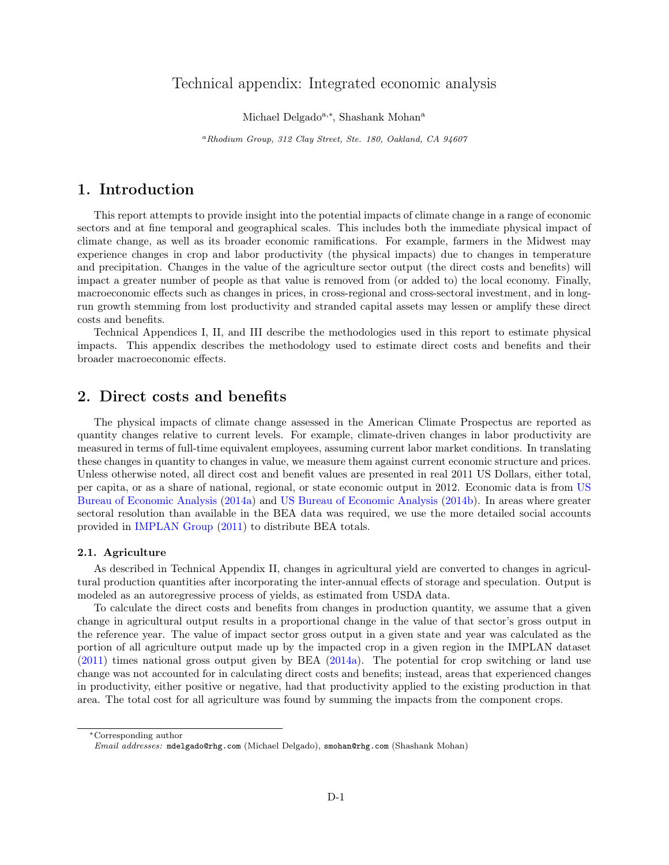# Technical appendix: Integrated economic analysis

Michael Delgado<sup>a,\*</sup>, Shashank Mohan<sup>a</sup>

<sup>a</sup>Rhodium Group, 312 Clay Street, Ste. 180, Oakland, CA 94607

# 1. Introduction

This report attempts to provide insight into the potential impacts of climate change in a range of economic sectors and at fine temporal and geographical scales. This includes both the immediate physical impact of climate change, as well as its broader economic ramifications. For example, farmers in the Midwest may experience changes in crop and labor productivity (the physical impacts) due to changes in temperature and precipitation. Changes in the value of the agriculture sector output (the direct costs and benefits) will impact a greater number of people as that value is removed from (or added to) the local economy. Finally, macroeconomic effects such as changes in prices, in cross-regional and cross-sectoral investment, and in longrun growth stemming from lost productivity and stranded capital assets may lessen or amplify these direct costs and benefits.

Technical Appendices I, II, and III describe the methodologies used in this report to estimate physical impacts. This appendix describes the methodology used to estimate direct costs and benefits and their broader macroeconomic effects.

# 2. Direct costs and benefits

The physical impacts of climate change assessed in the American Climate Prospectus are reported as quantity changes relative to current levels. For example, climate-driven changes in labor productivity are measured in terms of full-time equivalent employees, assuming current labor market conditions. In translating these changes in quantity to changes in value, we measure them against current economic structure and prices. Unless otherwise noted, all direct cost and benefit values are presented in real 2011 US Dollars, either total, per capita, or as a share of national, regional, or state economic output in 2012. Economic data is from [US](#page-16-0) [Bureau of Economic Analysis](#page-16-0) [\(2014a\)](#page-16-0) and [US Bureau of Economic Analysis](#page-16-1) [\(2014b\)](#page-16-1). In areas where greater sectoral resolution than available in the BEA data was required, we use the more detailed social accounts provided in [IMPLAN Group](#page-16-2) [\(2011\)](#page-16-2) to distribute BEA totals.

## 2.1. Agriculture

As described in Technical Appendix II, changes in agricultural yield are converted to changes in agricultural production quantities after incorporating the inter-annual effects of storage and speculation. Output is modeled as an autoregressive process of yields, as estimated from USDA data.

To calculate the direct costs and benefits from changes in production quantity, we assume that a given change in agricultural output results in a proportional change in the value of that sector's gross output in the reference year. The value of impact sector gross output in a given state and year was calculated as the portion of all agriculture output made up by the impacted crop in a given region in the IMPLAN dataset [\(2011\)](#page-16-2) times national gross output given by BEA [\(2014a\)](#page-16-0). The potential for crop switching or land use change was not accounted for in calculating direct costs and benefits; instead, areas that experienced changes in productivity, either positive or negative, had that productivity applied to the existing production in that area. The total cost for all agriculture was found by summing the impacts from the component crops.

<sup>∗</sup>Corresponding author

Email addresses: mdelgado@rhg.com (Michael Delgado), smohan@rhg.com (Shashank Mohan)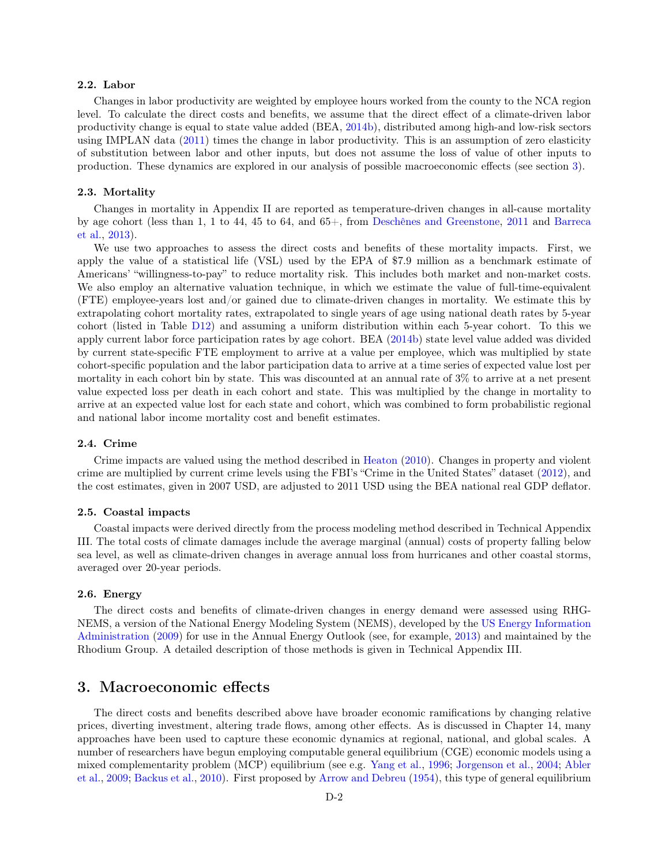# 2.2. Labor

Changes in labor productivity are weighted by employee hours worked from the county to the NCA region level. To calculate the direct costs and benefits, we assume that the direct effect of a climate-driven labor productivity change is equal to state value added (BEA, [2014b\)](#page-16-1), distributed among high-and low-risk sectors using IMPLAN data [\(2011\)](#page-16-2) times the change in labor productivity. This is an assumption of zero elasticity of substitution between labor and other inputs, but does not assume the loss of value of other inputs to production. These dynamics are explored in our analysis of possible macroeconomic effects (see section [3\)](#page-1-0).

#### <span id="page-1-1"></span>2.3. Mortality

Changes in mortality in Appendix II are reported as temperature-driven changes in all-cause mortality by age cohort (less than 1, 1 to 44, 45 to 64, and 65+, from [Deschênes and Greenstone,](#page-16-3) [2011](#page-16-3) and [Barreca](#page-16-4) [et al.,](#page-16-4) [2013\)](#page-16-4).

We use two approaches to assess the direct costs and benefits of these mortality impacts. First, we apply the value of a statistical life (VSL) used by the EPA of \$7.9 million as a benchmark estimate of Americans' "willingness-to-pay" to reduce mortality risk. This includes both market and non-market costs. We also employ an alternative valuation technique, in which we estimate the value of full-time-equivalent (FTE) employee-years lost and/or gained due to climate-driven changes in mortality. We estimate this by extrapolating cohort mortality rates, extrapolated to single years of age using national death rates by 5-year cohort (listed in Table [D12\)](#page-17-0) and assuming a uniform distribution within each 5-year cohort. To this we apply current labor force participation rates by age cohort. BEA [\(2014b\)](#page-16-1) state level value added was divided by current state-specific FTE employment to arrive at a value per employee, which was multiplied by state cohort-specific population and the labor participation data to arrive at a time series of expected value lost per mortality in each cohort bin by state. This was discounted at an annual rate of 3% to arrive at a net present value expected loss per death in each cohort and state. This was multiplied by the change in mortality to arrive at an expected value lost for each state and cohort, which was combined to form probabilistic regional and national labor income mortality cost and benefit estimates.

## 2.4. Crime

Crime impacts are valued using the method described in [Heaton](#page-16-5) [\(2010\)](#page-16-5). Changes in property and violent crime are multiplied by current crime levels using the FBI's "Crime in the United States" dataset [\(2012\)](#page-16-6), and the cost estimates, given in 2007 USD, are adjusted to 2011 USD using the BEA national real GDP deflator.

#### 2.5. Coastal impacts

Coastal impacts were derived directly from the process modeling method described in Technical Appendix III. The total costs of climate damages include the average marginal (annual) costs of property falling below sea level, as well as climate-driven changes in average annual loss from hurricanes and other coastal storms, averaged over 20-year periods.

# 2.6. Energy

The direct costs and benefits of climate-driven changes in energy demand were assessed using RHG-NEMS, a version of the National Energy Modeling System (NEMS), developed by the [US Energy Information](#page-16-7) [Administration](#page-16-7) [\(2009\)](#page-16-7) for use in the Annual Energy Outlook (see, for example, [2013\)](#page-16-8) and maintained by the Rhodium Group. A detailed description of those methods is given in Technical Appendix III.

# <span id="page-1-0"></span>3. Macroeconomic effects

The direct costs and benefits described above have broader economic ramifications by changing relative prices, diverting investment, altering trade flows, among other effects. As is discussed in Chapter 14, many approaches have been used to capture these economic dynamics at regional, national, and global scales. A number of researchers have begun employing computable general equilibrium (CGE) economic models using a mixed complementarity problem (MCP) equilibrium (see e.g. [Yang et al.,](#page-16-9) [1996;](#page-16-9) [Jorgenson et al.,](#page-16-10) [2004;](#page-16-10) [Abler](#page-16-11) [et al.,](#page-16-11) [2009;](#page-16-11) [Backus et al.,](#page-16-12) [2010\)](#page-16-12). First proposed by [Arrow and Debreu](#page-16-13) [\(1954\)](#page-16-13), this type of general equilibrium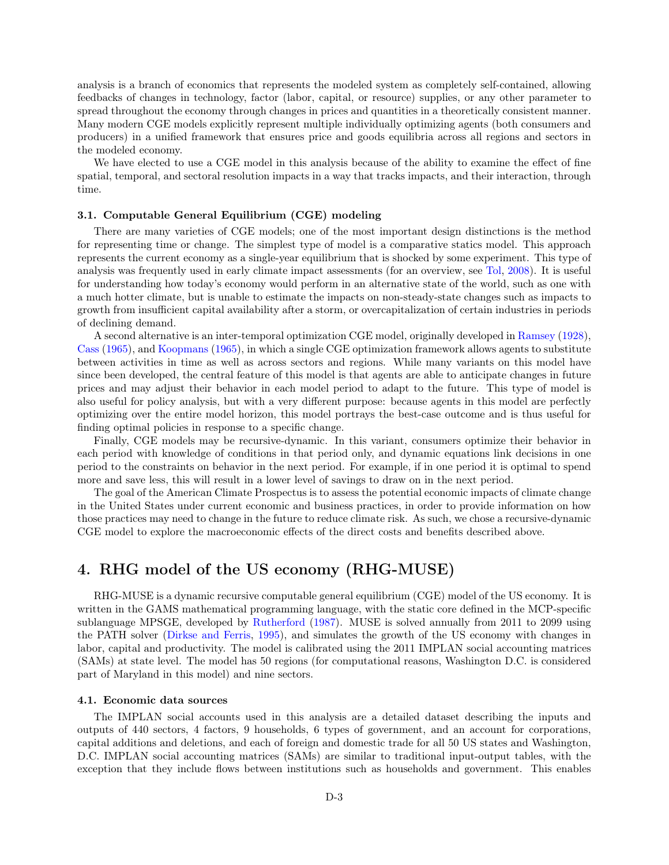analysis is a branch of economics that represents the modeled system as completely self-contained, allowing feedbacks of changes in technology, factor (labor, capital, or resource) supplies, or any other parameter to spread throughout the economy through changes in prices and quantities in a theoretically consistent manner. Many modern CGE models explicitly represent multiple individually optimizing agents (both consumers and producers) in a unified framework that ensures price and goods equilibria across all regions and sectors in the modeled economy.

We have elected to use a CGE model in this analysis because of the ability to examine the effect of fine spatial, temporal, and sectoral resolution impacts in a way that tracks impacts, and their interaction, through time.

## 3.1. Computable General Equilibrium (CGE) modeling

There are many varieties of CGE models; one of the most important design distinctions is the method for representing time or change. The simplest type of model is a comparative statics model. This approach represents the current economy as a single-year equilibrium that is shocked by some experiment. This type of analysis was frequently used in early climate impact assessments (for an overview, see [Tol,](#page-16-14) [2008\)](#page-16-14). It is useful for understanding how today's economy would perform in an alternative state of the world, such as one with a much hotter climate, but is unable to estimate the impacts on non-steady-state changes such as impacts to growth from insufficient capital availability after a storm, or overcapitalization of certain industries in periods of declining demand.

A second alternative is an inter-temporal optimization CGE model, originally developed in [Ramsey](#page-16-15) [\(1928\)](#page-16-15), [Cass](#page-16-16) [\(1965\)](#page-16-16), and [Koopmans](#page-16-17) [\(1965\)](#page-16-17), in which a single CGE optimization framework allows agents to substitute between activities in time as well as across sectors and regions. While many variants on this model have since been developed, the central feature of this model is that agents are able to anticipate changes in future prices and may adjust their behavior in each model period to adapt to the future. This type of model is also useful for policy analysis, but with a very different purpose: because agents in this model are perfectly optimizing over the entire model horizon, this model portrays the best-case outcome and is thus useful for finding optimal policies in response to a specific change.

Finally, CGE models may be recursive-dynamic. In this variant, consumers optimize their behavior in each period with knowledge of conditions in that period only, and dynamic equations link decisions in one period to the constraints on behavior in the next period. For example, if in one period it is optimal to spend more and save less, this will result in a lower level of savings to draw on in the next period.

The goal of the American Climate Prospectus is to assess the potential economic impacts of climate change in the United States under current economic and business practices, in order to provide information on how those practices may need to change in the future to reduce climate risk. As such, we chose a recursive-dynamic CGE model to explore the macroeconomic effects of the direct costs and benefits described above.

# 4. RHG model of the US economy (RHG-MUSE)

RHG-MUSE is a dynamic recursive computable general equilibrium (CGE) model of the US economy. It is written in the GAMS mathematical programming language, with the static core defined in the MCP-specific sublanguage MPSGE, developed by [Rutherford](#page-16-18) [\(1987\)](#page-16-18). MUSE is solved annually from 2011 to 2099 using the PATH solver [\(Dirkse and Ferris,](#page-16-19) [1995\)](#page-16-19), and simulates the growth of the US economy with changes in labor, capital and productivity. The model is calibrated using the 2011 IMPLAN social accounting matrices (SAMs) at state level. The model has 50 regions (for computational reasons, Washington D.C. is considered part of Maryland in this model) and nine sectors.

#### 4.1. Economic data sources

The IMPLAN social accounts used in this analysis are a detailed dataset describing the inputs and outputs of 440 sectors, 4 factors, 9 households, 6 types of government, and an account for corporations, capital additions and deletions, and each of foreign and domestic trade for all 50 US states and Washington, D.C. IMPLAN social accounting matrices (SAMs) are similar to traditional input-output tables, with the exception that they include flows between institutions such as households and government. This enables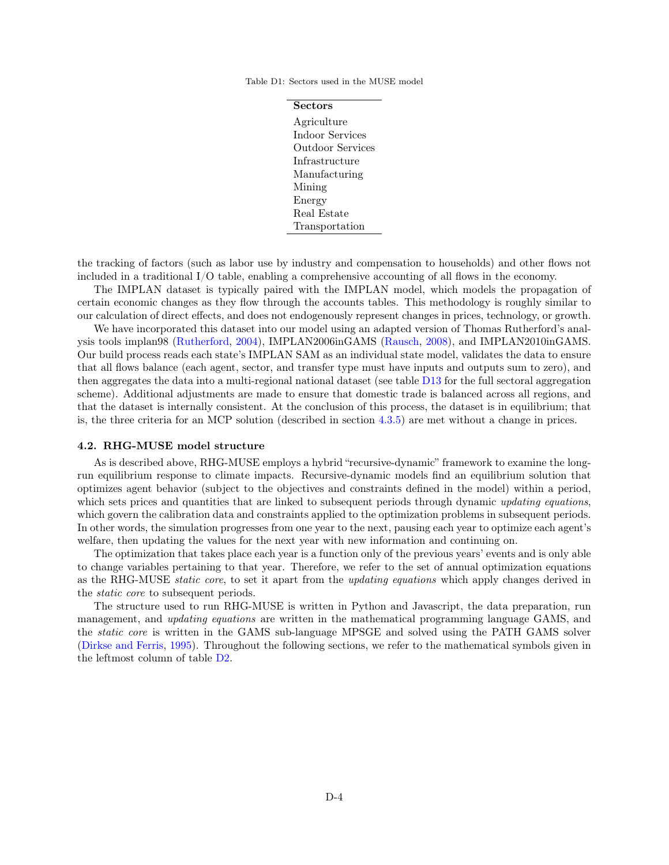<span id="page-3-0"></span>Table D1: Sectors used in the MUSE model

| Sectors                 |
|-------------------------|
| Agriculture             |
| Indoor Services         |
| <b>Outdoor Services</b> |
| Infrastructure          |
| Manufacturing           |
| Mining                  |
| Energy                  |
| Real Estate             |
| Transportation          |

the tracking of factors (such as labor use by industry and compensation to households) and other flows not included in a traditional I/O table, enabling a comprehensive accounting of all flows in the economy.

The IMPLAN dataset is typically paired with the IMPLAN model, which models the propagation of certain economic changes as they flow through the accounts tables. This methodology is roughly similar to our calculation of direct effects, and does not endogenously represent changes in prices, technology, or growth.

We have incorporated this dataset into our model using an adapted version of Thomas Rutherford's analysis tools implan98 [\(Rutherford,](#page-16-20) [2004\)](#page-16-20), IMPLAN2006inGAMS [\(Rausch,](#page-16-21) [2008\)](#page-16-21), and IMPLAN2010inGAMS. Our build process reads each state's IMPLAN SAM as an individual state model, validates the data to ensure that all flows balance (each agent, sector, and transfer type must have inputs and outputs sum to zero), and then aggregates the data into a multi-regional national dataset (see table [D13](#page-18-0) for the full sectoral aggregation scheme). Additional adjustments are made to ensure that domestic trade is balanced across all regions, and that the dataset is internally consistent. At the conclusion of this process, the dataset is in equilibrium; that is, the three criteria for an MCP solution (described in section [4.3.5\)](#page-10-0) are met without a change in prices.

#### 4.2. RHG-MUSE model structure

As is described above, RHG-MUSE employs a hybrid "recursive-dynamic" framework to examine the longrun equilibrium response to climate impacts. Recursive-dynamic models find an equilibrium solution that optimizes agent behavior (subject to the objectives and constraints defined in the model) within a period, which sets prices and quantities that are linked to subsequent periods through dynamic updating equations, which govern the calibration data and constraints applied to the optimization problems in subsequent periods. In other words, the simulation progresses from one year to the next, pausing each year to optimize each agent's welfare, then updating the values for the next year with new information and continuing on.

The optimization that takes place each year is a function only of the previous years' events and is only able to change variables pertaining to that year. Therefore, we refer to the set of annual optimization equations as the RHG-MUSE *static core*, to set it apart from the *updating equations* which apply changes derived in the static core to subsequent periods.

The structure used to run RHG-MUSE is written in Python and Javascript, the data preparation, run management, and *updating equations* are written in the mathematical programming language GAMS, and the static core is written in the GAMS sub-language MPSGE and solved using the PATH GAMS solver [\(Dirkse and Ferris,](#page-16-19) [1995\)](#page-16-19). Throughout the following sections, we refer to the mathematical symbols given in the leftmost column of table [D2.](#page-4-0)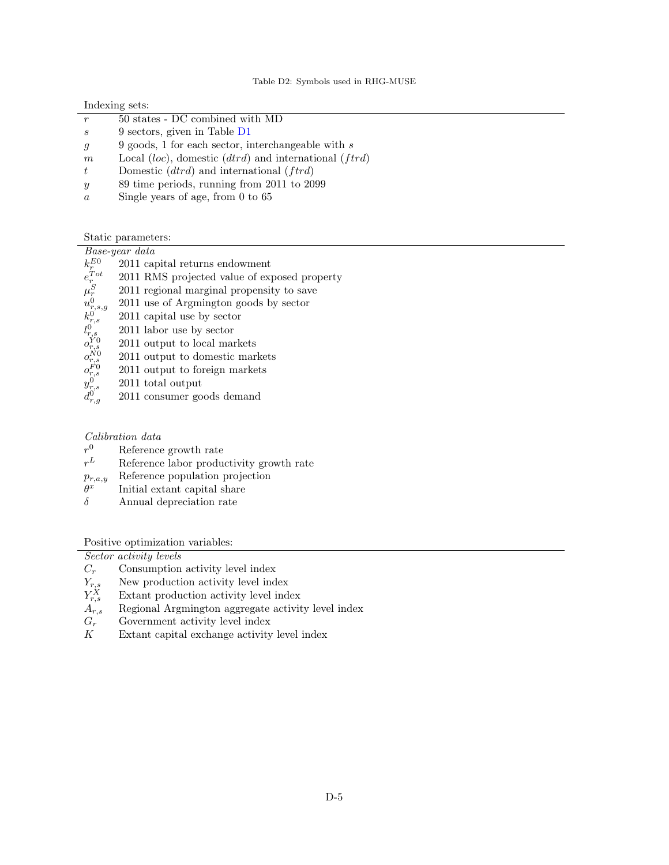<span id="page-4-0"></span>

|                  | Indexing sets:                                               |
|------------------|--------------------------------------------------------------|
|                  | 50 states - DC combined with MD                              |
| S                | 9 sectors, given in Table D1                                 |
| $\mathfrak{g}$   | 9 goods, 1 for each sector, interchangeable with $s$         |
| m                | Local $(loc)$ , domestic $(dtrd)$ and international $(ftrd)$ |
| $t_{\parallel}$  | Domestic $(dtrd)$ and international $(ftrd)$                 |
| $\boldsymbol{y}$ | 89 time periods, running from 2011 to 2099                   |
| $\alpha$         | Single years of age, from $0$ to $65$                        |

Static parameters:

|                                                                                                                                                  | Base-year data                               |
|--------------------------------------------------------------------------------------------------------------------------------------------------|----------------------------------------------|
| $k_r^{E0}$                                                                                                                                       | 2011 capital returns endowment               |
| $e^{Tot}_{r}$                                                                                                                                    | 2011 RMS projected value of exposed property |
|                                                                                                                                                  | 2011 regional marginal propensity to save    |
|                                                                                                                                                  | 2011 use of Argmington goods by sector       |
|                                                                                                                                                  | 2011 capital use by sector                   |
|                                                                                                                                                  | 2011 labor use by sector                     |
|                                                                                                                                                  | 2011 output to local markets                 |
|                                                                                                                                                  | 2011 output to domestic markets              |
|                                                                                                                                                  | 2011 output to foreign markets               |
|                                                                                                                                                  | 2011 total output                            |
| $\begin{array}{l} \mu_r^S\\ u_{r,s,g}^0\\ k_0^0,\\ l_{r,s}^0\\ o_{r,s}^{N0}\\ o_{r,s}^{N0}\\ o_{r,s}^{F0}\\ y_{r,s}^0\\ d_{r,q}^0\\ \end{array}$ | 2011 consumer goods demand                   |
|                                                                                                                                                  |                                              |

# Calibration data

- $r<sup>0</sup>$ Reference growth rate  $% \left\vert \cdot \right\rangle$
- $r^L$  $L$  Reference labor productivity growth rate
- $p_{r,a,y}$  Reference population projection
- $\theta^x$ Initial extant capital share
- $\delta$  Annual depreciation rate

Positive optimization variables:

|                 | Sector activity levels                             |
|-----------------|----------------------------------------------------|
| $C_r$           | Consumption activity level index                   |
| $Y_{r,s}$       | New production activity level index                |
| $Y^X_{r,s}$     | Extant production activity level index             |
| $A_{r,s}$       | Regional Argmington aggregate activity level index |
| $G_r$           | Government activity level index                    |
| $K_{\parallel}$ | Extant capital exchange activity level index       |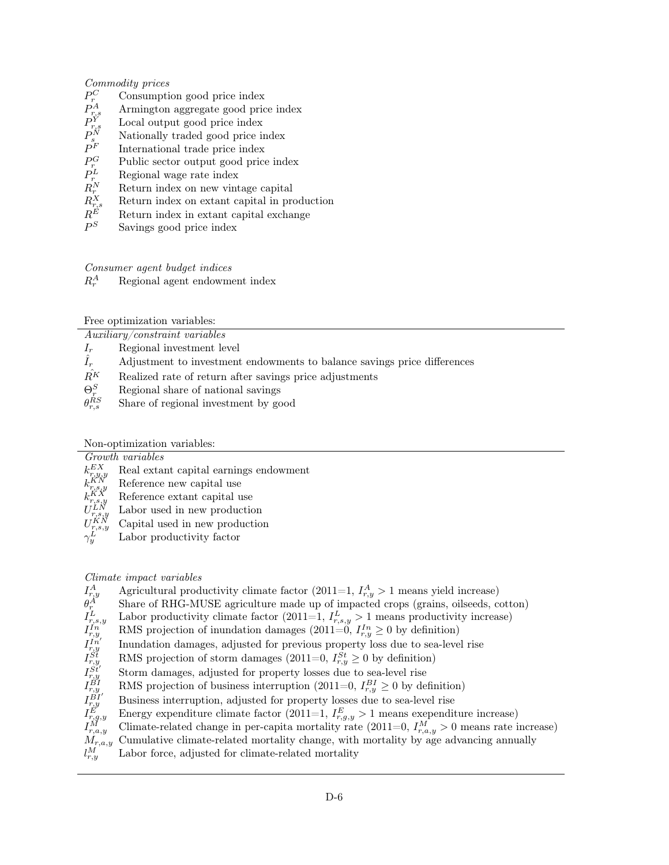# Commodity prices

- $P_r^C$ Consumption good price index
- $P^A_r$ Armington aggregate good price index
- $P_{r}^{\hat{Y}}$ Local output good price index
- $P^N_s$ Nationally traded good price index
- P International trade price index
- $P_r^G$ Public sector output good price index
- $P_r^L$ Regional wage rate index
- $R_r^N$ Return index on new vintage capital
- $R_{r}^X$ Return index on extant capital in production
- Return index in extant capital exchange
- $P^S$ Savings good price index

# Consumer agent budget indices

 $R^A_{\varepsilon}$ Regional agent endowment index

Free optimization variables:

Auxiliary/constraint variables

- $I_r$  Regional investment level
- $\hat{I}_r$  Adjustment to investment endowments to balance savings price differences
- $R<sup>K</sup>$  Realized rate of return after savings price adjustments
- $\Theta_r^S$ <sup>r</sup> Regional share of national savings
- $\theta_{r,s}^{RS}$ Share of regional investment by good

Non-optimization variables:

Growth variables

- $k_{r,u}^{EX}$ Real extant capital earnings endowment
- $k_{r,s,i}^{KN}$ Reference new capital use
- $k_{r,s,i}^{K X}$ Reference extant capital use
- $U^{LN}_{r.s.}$ Labor used in new production
- $\mathcal{U}$ KN Capital used in new production
- $\gamma_u^L$ Labor productivity factor

# Climate impact variables

 $I_r^A$  $r_{r,y}^A$  Agricultural productivity climate factor (2011=1,  $I_{r,y}^A > 1$  means yield increase)

- $\theta_r^A$ <sup>r</sup> Share of RHG-MUSE agriculture made up of impacted crops (grains, oilseeds, cotton)
- $I_r^L$  $\mu_{r,s,y}^{L}$  Labor productivity climate factor (2011=1,  $I_{r,s,y}^{L} > 1$  means productivity increase)
- $I^{In}_{r,u}$  $r_{r,y}^{In}$  RMS projection of inundation damages (2011=0,  $I_{r,y}^{In} \geq 0$  by definition)
- $I^{I n'}_{r.v}$ Inundation damages, adjusted for previous property loss due to sea-level rise
- $I^{S t}_{r.i}$  $r_{r,y}^{S_t^t}$  RMS projection of storm damages (2011=0,  $I_{r,y}^{S_t^t} \geq 0$  by definition)
- $I^{S{\v t}'}_{r.u}$ Storm damages, adjusted for property losses due to sea-level rise
- $I_{r.u}^{\cancel{B}I}$  $F_{r,y}^{BT}$  RMS projection of business interruption (2011=0,  $I_{r,y}^{BI} \geq 0$  by definition)
- $I_{r,u}^{\mathring{B}I^{\prime}}$  $r_{r,y}^{BT}$  Business interruption, adjusted for property losses due to sea-level rise
- I E  $F_{r,g,y}^{E'}$  Energy expenditure climate factor (2011=1,  $I_{r,g,y}^{E} > 1$  means exependiture increase)
- $I_{r,\epsilon}^M$  $\tilde{f}_{r,a,y}^{M}$  Climate-related change in per-capita mortality rate (2011=0,  $I_{r,a,y}^{M} > 0$  means rate increase)
- Cumulative climate-related mortality change, with mortality by age advancing annually
- $l_{r,y}^{\dot{M}}$ Labor force, adjusted for climate-related mortality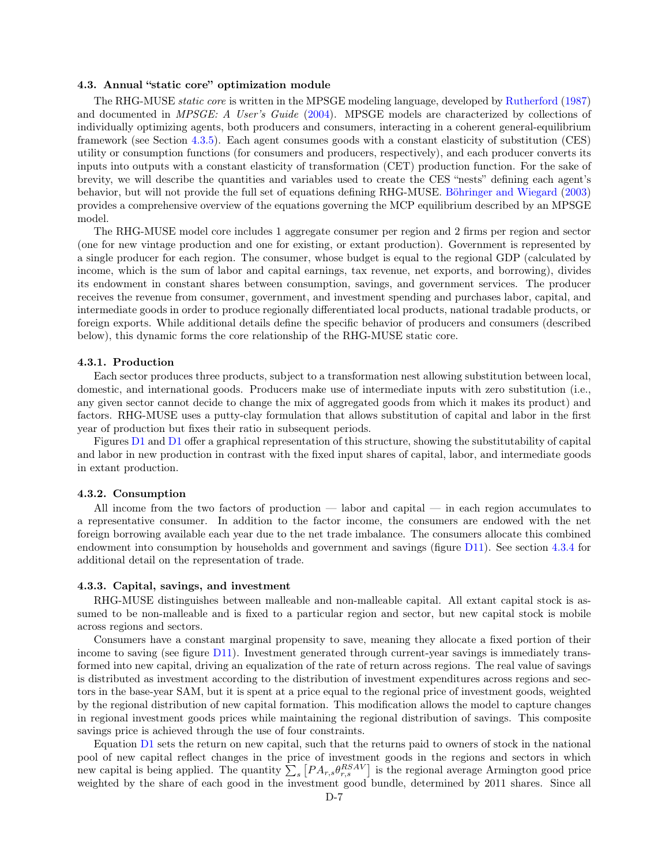## 4.3. Annual "static core" optimization module

The RHG-MUSE static core is written in the MPSGE modeling language, developed by [Rutherford](#page-16-18) [\(1987\)](#page-16-18) and documented in *MPSGE: A User's Guide* [\(2004\)](#page-16-22). MPSGE models are characterized by collections of individually optimizing agents, both producers and consumers, interacting in a coherent general-equilibrium framework (see Section [4.3.5\)](#page-10-0). Each agent consumes goods with a constant elasticity of substitution (CES) utility or consumption functions (for consumers and producers, respectively), and each producer converts its inputs into outputs with a constant elasticity of transformation (CET) production function. For the sake of brevity, we will describe the quantities and variables used to create the CES "nests" defining each agent's behavior, but will not provide the full set of equations defining RHG-MUSE. [Böhringer and Wiegard](#page-16-23) [\(2003\)](#page-16-23) provides a comprehensive overview of the equations governing the MCP equilibrium described by an MPSGE model.

The RHG-MUSE model core includes 1 aggregate consumer per region and 2 firms per region and sector (one for new vintage production and one for existing, or extant production). Government is represented by a single producer for each region. The consumer, whose budget is equal to the regional GDP (calculated by income, which is the sum of labor and capital earnings, tax revenue, net exports, and borrowing), divides its endowment in constant shares between consumption, savings, and government services. The producer receives the revenue from consumer, government, and investment spending and purchases labor, capital, and intermediate goods in order to produce regionally differentiated local products, national tradable products, or foreign exports. While additional details define the specific behavior of producers and consumers (described below), this dynamic forms the core relationship of the RHG-MUSE static core.

#### <span id="page-6-0"></span>4.3.1. Production

Each sector produces three products, subject to a transformation nest allowing substitution between local, domestic, and international goods. Producers make use of intermediate inputs with zero substitution (i.e., any given sector cannot decide to change the mix of aggregated goods from which it makes its product) and factors. RHG-MUSE uses a putty-clay formulation that allows substitution of capital and labor in the first year of production but fixes their ratio in subsequent periods.

Figures [D1](#page-7-0) and [D1](#page-7-0) offer a graphical representation of this structure, showing the substitutability of capital and labor in new production in contrast with the fixed input shares of capital, labor, and intermediate goods in extant production.

# 4.3.2. Consumption

All income from the two factors of production — labor and capital — in each region accumulates to a representative consumer. In addition to the factor income, the consumers are endowed with the net foreign borrowing available each year due to the net trade imbalance. The consumers allocate this combined endowment into consumption by households and government and savings (figure [D11\)](#page-15-0). See section [4.3.4](#page-9-0) for additional detail on the representation of trade.

#### 4.3.3. Capital, savings, and investment

RHG-MUSE distinguishes between malleable and non-malleable capital. All extant capital stock is assumed to be non-malleable and is fixed to a particular region and sector, but new capital stock is mobile across regions and sectors.

Consumers have a constant marginal propensity to save, meaning they allocate a fixed portion of their income to saving (see figure [D11\)](#page-15-0). Investment generated through current-year savings is immediately transformed into new capital, driving an equalization of the rate of return across regions. The real value of savings is distributed as investment according to the distribution of investment expenditures across regions and sectors in the base-year SAM, but it is spent at a price equal to the regional price of investment goods, weighted by the regional distribution of new capital formation. This modification allows the model to capture changes in regional investment goods prices while maintaining the regional distribution of savings. This composite savings price is achieved through the use of four constraints.

Equation [D1](#page-9-1) sets the return on new capital, such that the returns paid to owners of stock in the national pool of new capital reflect changes in the price of investment goods in the regions and sectors in which new capital is being applied. The quantity  $\sum_s [PA_{r,s}\theta_{r,s}^{BSAV}]$  is the regional average Armington good price weighted by the share of each good in the investment good bundle, determined by 2011 shares. Since all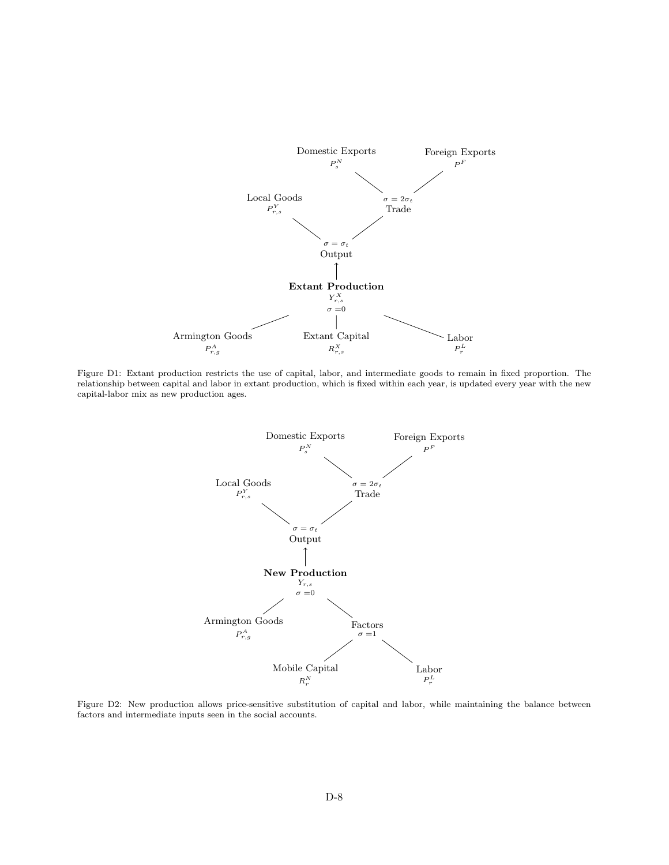<span id="page-7-0"></span>

Figure D1: Extant production restricts the use of capital, labor, and intermediate goods to remain in fixed proportion. The relationship between capital and labor in extant production, which is fixed within each year, is updated every year with the new capital-labor mix as new production ages.



Figure D2: New production allows price-sensitive substitution of capital and labor, while maintaining the balance between factors and intermediate inputs seen in the social accounts.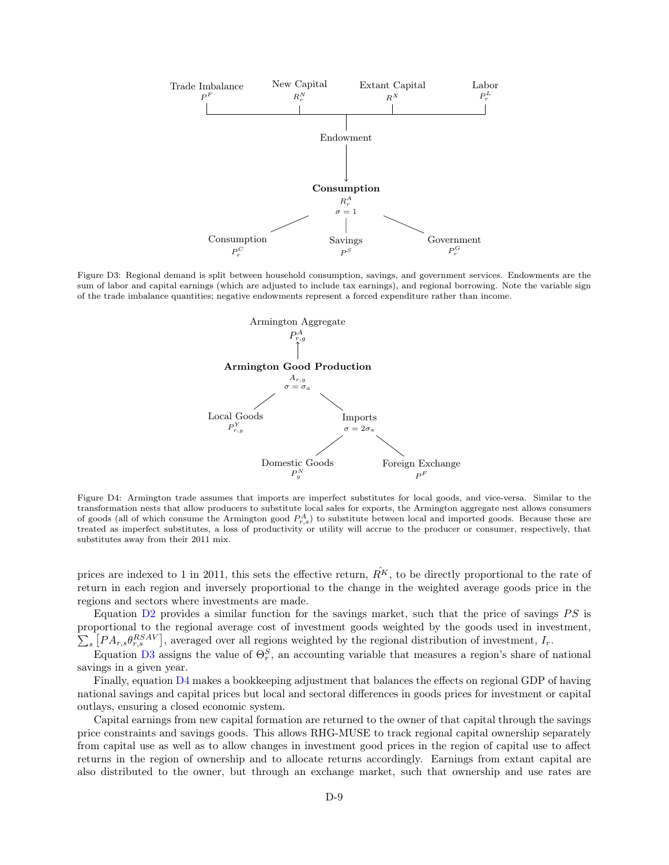

<span id="page-8-0"></span>Figure D3: Regional demand is split between household consumption, savings, and government services. Endowments are the sum of labor and capital earnings (which are adjusted to include tax earnings), and regional borrowing. Note the variable sign of the trade imbalance quantities; negative endowments represent a forced expenditure rather than income.



Figure D4: Armington trade assumes that imports are imperfect substitutes for local goods, and vice-versa. Similar to the transformation nests that allow producers to substitute local sales for exports, the Armington aggregate nest allows consumers of goods (all of which consume the Armington good  $P_{r,s}^A$ ) to substitute between local and imported goods. Because these are treated as imperfect substitutes, a loss of productivity or utility will accrue to the producer or consumer, respectively, that substitutes away from their 2011 mix.

prices are indexed to 1 in 2011, this sets the effective return,  $\hat{R}^K$ , to be directly proportional to the rate of return in each region and inversely proportional to the change in the weighted average goods price in the regions and sectors where investments are made.

Equation [D2](#page-9-2) provides a similar function for the savings market, such that the price of savings  $PS$  is proportional to the regional average cost of investment goods weighted by the goods used in investment,  $\sum_s [PA_{r,s}\theta_{r,s}^{RSAV}]$ , averaged over all regions weighted by the regional distribution of investment,  $I_r$ .

Equation [D3](#page-9-3) assigns the value of  $\Theta_r^S$ , an accounting variable that measures a region's share of national savings in a given year.

Finally, equation  $\overline{D4}$  $\overline{D4}$  $\overline{D4}$  makes a bookkeeping adjustment that balances the effects on regional GDP of having national savings and capital prices but local and sectoral differences in goods prices for investment or capital outlays, ensuring a closed economic system.

Capital earnings from new capital formation are returned to the owner of that capital through the savings price constraints and savings goods. This allows RHG-MUSE to track regional capital ownership separately from capital use as well as to allow changes in investment good prices in the region of capital use to affect returns in the region of ownership and to allocate returns accordingly. Earnings from extant capital are also distributed to the owner, but through an exchange market, such that ownership and use rates are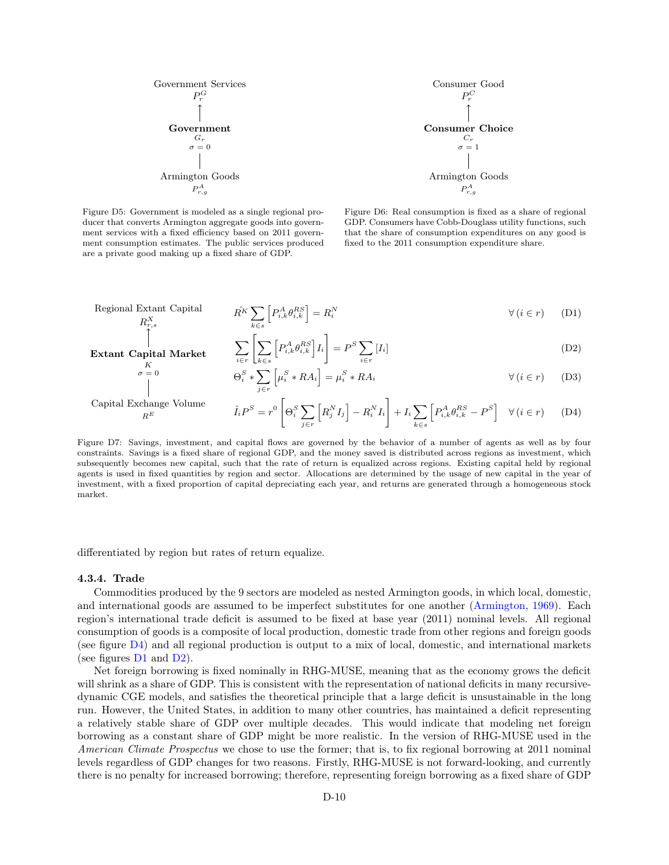

Figure D5: Government is modeled as a single regional producer that converts Armington aggregate goods into government services with a fixed efficiency based on 2011 government consumption estimates. The public services produced are a private good making up a fixed share of GDP.

<span id="page-9-4"></span><span id="page-9-3"></span><span id="page-9-2"></span><span id="page-9-1"></span>Figure D6: Real consumption is fixed as a share of regional GDP. Consumers have Cobb-Douglass utility functions, such that the share of consumption expenditures on any good is fixed to the 2011 consumption expenditure share.

$$
\text{Regional Extant Capital} \qquad \qquad \hat{R}^K \sum_{k \in s} \left[ P_{i,k}^A \theta_{i,k}^{RS} \right] = R_i^N \qquad \qquad \forall \, (i \in r) \qquad (D1)
$$

$$
\text{arket} \qquad \sum_{i \in r} \left[ \sum_{k \in s} \left[ P_{i,k}^A \theta_{i,k}^{RS} \right] I_i \right] = P^S \sum_{i \in r} [I_i] \tag{D2}
$$

$$
\Theta_i^S * \sum_{j \in r} \left[ \mu_i^S * RA_i \right] = \mu_i^S * RA_i \qquad \forall (i \in r) \tag{D3}
$$

Capital Exchange Volume  $R^E$ 

Extant Capital M K  $\sigma = 0$ 

$$
\hat{I}_i P^S = r^0 \left[ \Theta_i^S \sum_{j \in r} \left[ R_j^N I_j \right] - R_i^N I_i \right] + I_i \sum_{k \in s} \left[ P_{i,k}^A \theta_{i,k}^{RS} - P^S \right] \quad \forall \, (i \in r) \tag{D4}
$$

Figure D7: Savings, investment, and capital flows are governed by the behavior of a number of agents as well as by four constraints. Savings is a fixed share of regional GDP, and the money saved is distributed across regions as investment, which subsequently becomes new capital, such that the rate of return is equalized across regions. Existing capital held by regional agents is used in fixed quantities by region and sector. Allocations are determined by the usage of new capital in the year of investment, with a fixed proportion of capital depreciating each year, and returns are generated through a homogeneous stock market.

<span id="page-9-0"></span>differentiated by region but rates of return equalize.

#### 4.3.4. Trade

Commodities produced by the 9 sectors are modeled as nested Armington goods, in which local, domestic, and international goods are assumed to be imperfect substitutes for one another [\(Armington,](#page-16-24) [1969\)](#page-16-24). Each region's international trade deficit is assumed to be fixed at base year (2011) nominal levels. All regional consumption of goods is a composite of local production, domestic trade from other regions and foreign goods (see figure [D4\)](#page-8-0) and all regional production is output to a mix of local, domestic, and international markets (see figures  $D1$  and  $D2$ ).

Net foreign borrowing is fixed nominally in RHG-MUSE, meaning that as the economy grows the deficit will shrink as a share of GDP. This is consistent with the representation of national deficits in many recursivedynamic CGE models, and satisfies the theoretical principle that a large deficit is unsustainable in the long run. However, the United States, in addition to many other countries, has maintained a deficit representing a relatively stable share of GDP over multiple decades. This would indicate that modeling net foreign borrowing as a constant share of GDP might be more realistic. In the version of RHG-MUSE used in the American Climate Prospectus we chose to use the former; that is, to fix regional borrowing at 2011 nominal levels regardless of GDP changes for two reasons. Firstly, RHG-MUSE is not forward-looking, and currently there is no penalty for increased borrowing; therefore, representing foreign borrowing as a fixed share of GDP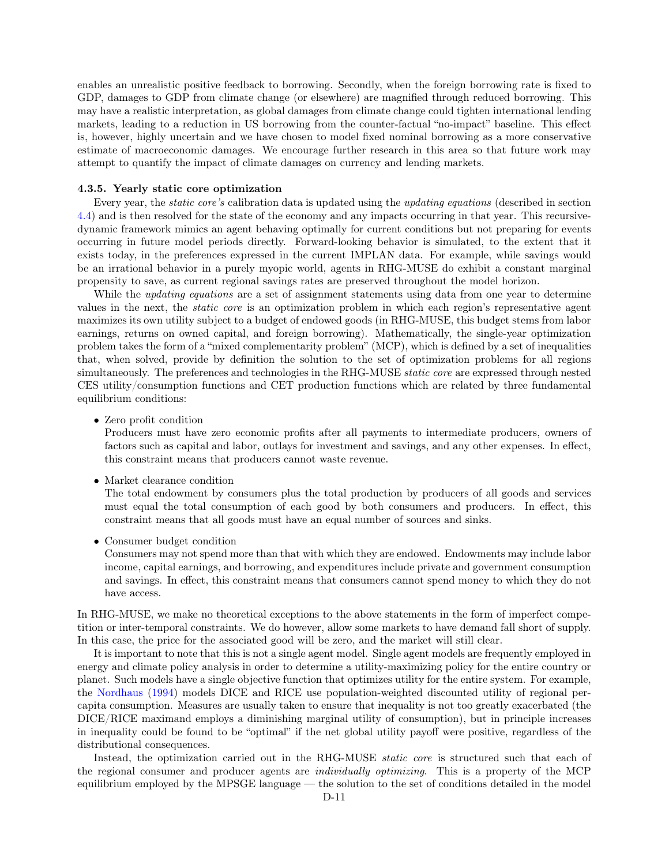enables an unrealistic positive feedback to borrowing. Secondly, when the foreign borrowing rate is fixed to GDP, damages to GDP from climate change (or elsewhere) are magnified through reduced borrowing. This may have a realistic interpretation, as global damages from climate change could tighten international lending markets, leading to a reduction in US borrowing from the counter-factual "no-impact" baseline. This effect is, however, highly uncertain and we have chosen to model fixed nominal borrowing as a more conservative estimate of macroeconomic damages. We encourage further research in this area so that future work may attempt to quantify the impact of climate damages on currency and lending markets.

#### <span id="page-10-0"></span>4.3.5. Yearly static core optimization

Every year, the static core's calibration data is updated using the updating equations (described in section [4.4\)](#page-11-0) and is then resolved for the state of the economy and any impacts occurring in that year. This recursivedynamic framework mimics an agent behaving optimally for current conditions but not preparing for events occurring in future model periods directly. Forward-looking behavior is simulated, to the extent that it exists today, in the preferences expressed in the current IMPLAN data. For example, while savings would be an irrational behavior in a purely myopic world, agents in RHG-MUSE do exhibit a constant marginal propensity to save, as current regional savings rates are preserved throughout the model horizon.

While the *updating equations* are a set of assignment statements using data from one year to determine values in the next, the static core is an optimization problem in which each region's representative agent maximizes its own utility subject to a budget of endowed goods (in RHG-MUSE, this budget stems from labor earnings, returns on owned capital, and foreign borrowing). Mathematically, the single-year optimization problem takes the form of a "mixed complementarity problem" (MCP), which is defined by a set of inequalities that, when solved, provide by definition the solution to the set of optimization problems for all regions simultaneously. The preferences and technologies in the RHG-MUSE *static core* are expressed through nested CES utility/consumption functions and CET production functions which are related by three fundamental equilibrium conditions:

• Zero profit condition

Producers must have zero economic profits after all payments to intermediate producers, owners of factors such as capital and labor, outlays for investment and savings, and any other expenses. In effect, this constraint means that producers cannot waste revenue.

• Market clearance condition

The total endowment by consumers plus the total production by producers of all goods and services must equal the total consumption of each good by both consumers and producers. In effect, this constraint means that all goods must have an equal number of sources and sinks.

• Consumer budget condition

Consumers may not spend more than that with which they are endowed. Endowments may include labor income, capital earnings, and borrowing, and expenditures include private and government consumption and savings. In effect, this constraint means that consumers cannot spend money to which they do not have access.

In RHG-MUSE, we make no theoretical exceptions to the above statements in the form of imperfect competition or inter-temporal constraints. We do however, allow some markets to have demand fall short of supply. In this case, the price for the associated good will be zero, and the market will still clear.

It is important to note that this is not a single agent model. Single agent models are frequently employed in energy and climate policy analysis in order to determine a utility-maximizing policy for the entire country or planet. Such models have a single objective function that optimizes utility for the entire system. For example, the [Nordhaus](#page-16-25) [\(1994\)](#page-16-25) models DICE and RICE use population-weighted discounted utility of regional percapita consumption. Measures are usually taken to ensure that inequality is not too greatly exacerbated (the DICE/RICE maximand employs a diminishing marginal utility of consumption), but in principle increases in inequality could be found to be "optimal" if the net global utility payoff were positive, regardless of the distributional consequences.

Instead, the optimization carried out in the RHG-MUSE static core is structured such that each of the regional consumer and producer agents are individually optimizing. This is a property of the MCP equilibrium employed by the MPSGE language — the solution to the set of conditions detailed in the model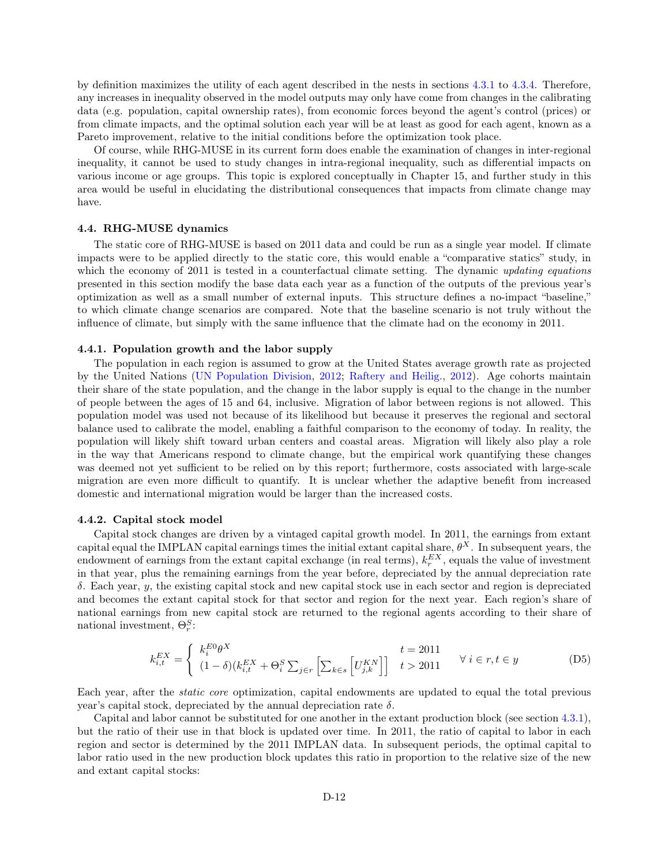by definition maximizes the utility of each agent described in the nests in sections [4.3.1](#page-6-0) to [4.3.4.](#page-9-0) Therefore, any increases in inequality observed in the model outputs may only have come from changes in the calibrating data (e.g. population, capital ownership rates), from economic forces beyond the agent's control (prices) or from climate impacts, and the optimal solution each year will be at least as good for each agent, known as a Pareto improvement, relative to the initial conditions before the optimization took place.

Of course, while RHG-MUSE in its current form does enable the examination of changes in inter-regional inequality, it cannot be used to study changes in intra-regional inequality, such as differential impacts on various income or age groups. This topic is explored conceptually in Chapter 15, and further study in this area would be useful in elucidating the distributional consequences that impacts from climate change may have.

## <span id="page-11-0"></span>4.4. RHG-MUSE dynamics

The static core of RHG-MUSE is based on 2011 data and could be run as a single year model. If climate impacts were to be applied directly to the static core, this would enable a "comparative statics" study, in which the economy of 2011 is tested in a counterfactual climate setting. The dynamic updating equations presented in this section modify the base data each year as a function of the outputs of the previous year's optimization as well as a small number of external inputs. This structure defines a no-impact "baseline," to which climate change scenarios are compared. Note that the baseline scenario is not truly without the influence of climate, but simply with the same influence that the climate had on the economy in 2011.

#### <span id="page-11-1"></span>4.4.1. Population growth and the labor supply

The population in each region is assumed to grow at the United States average growth rate as projected by the United Nations [\(UN Population Division,](#page-16-26) [2012;](#page-16-26) [Raftery and Heilig.,](#page-16-27) [2012\)](#page-16-27). Age cohorts maintain their share of the state population, and the change in the labor supply is equal to the change in the number of people between the ages of 15 and 64, inclusive. Migration of labor between regions is not allowed. This population model was used not because of its likelihood but because it preserves the regional and sectoral balance used to calibrate the model, enabling a faithful comparison to the economy of today. In reality, the population will likely shift toward urban centers and coastal areas. Migration will likely also play a role in the way that Americans respond to climate change, but the empirical work quantifying these changes was deemed not yet sufficient to be relied on by this report; furthermore, costs associated with large-scale migration are even more difficult to quantify. It is unclear whether the adaptive benefit from increased domestic and international migration would be larger than the increased costs.

#### 4.4.2. Capital stock model

Capital stock changes are driven by a vintaged capital growth model. In 2011, the earnings from extant capital equal the IMPLAN capital earnings times the initial extant capital share,  $\theta^X$ . In subsequent years, the endowment of earnings from the extant capital exchange (in real terms),  $k_r^{EX}$ , equals the value of investment in that year, plus the remaining earnings from the year before, depreciated by the annual depreciation rate δ. Each year, y, the existing capital stock and new capital stock use in each sector and region is depreciated and becomes the extant capital stock for that sector and region for the next year. Each region's share of national earnings from new capital stock are returned to the regional agents according to their share of national investment,  $\Theta_r^S$ :

$$
k_{i,t}^{EX} = \begin{cases} k_i^{EO} \theta^X & t = 2011\\ (1 - \delta)(k_{i,t}^{EX} + \Theta_i^S \sum_{j \in r} \left[ \sum_{k \in s} \left[ U_{j,k}^{KN} \right] \right] & t > 2011 \end{cases} \quad \forall \ i \in r, t \in y
$$
 (D5)

Each year, after the static core optimization, capital endowments are updated to equal the total previous year's capital stock, depreciated by the annual depreciation rate δ.

Capital and labor cannot be substituted for one another in the extant production block (see section [4.3.1\)](#page-6-0), but the ratio of their use in that block is updated over time. In 2011, the ratio of capital to labor in each region and sector is determined by the 2011 IMPLAN data. In subsequent periods, the optimal capital to labor ratio used in the new production block updates this ratio in proportion to the relative size of the new and extant capital stocks: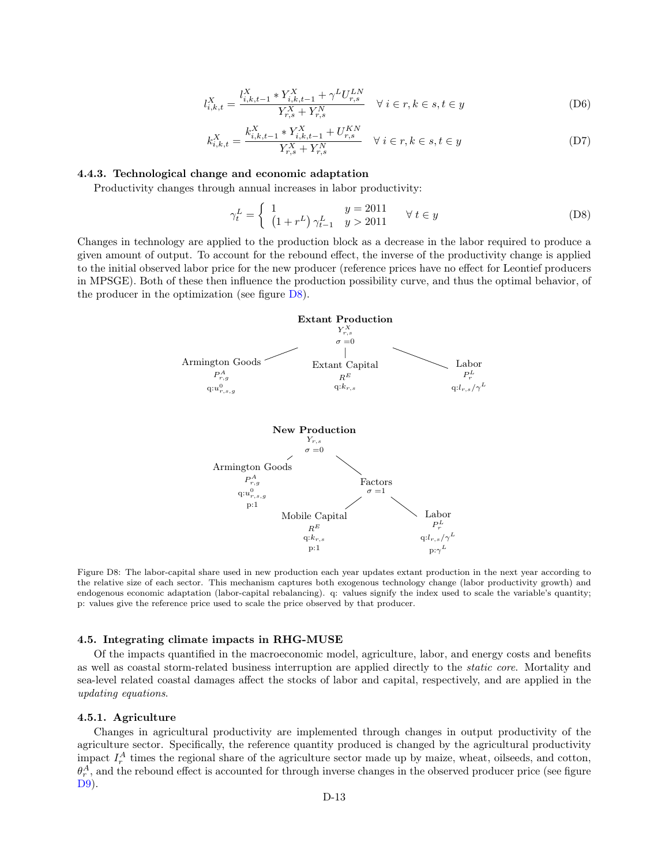$$
l_{i,k,t}^X = \frac{l_{i,k,t-1}^X * Y_{i,k,t-1}^X + \gamma^L U_{r,s}^{LN}}{Y_{r,s}^X + Y_{r,s}^N} \quad \forall \ i \in r, k \in s, t \in y
$$
 (D6)

$$
k_{i,k,t}^X = \frac{k_{i,k,t-1}^X * Y_{i,k,t-1}^X + U_{r,s}^{KN}}{Y_{r,s}^X + Y_{r,s}^N} \quad \forall \ i \in r, k \in s, t \in y
$$
 (D7)

# <span id="page-12-1"></span>4.4.3. Technological change and economic adaptation

Productivity changes through annual increases in labor productivity:

$$
\gamma_t^L = \begin{cases} 1 & y = 2011 \\ \left(1 + r^L\right)\gamma_{t-1}^L & y > 2011 \end{cases} \quad \forall \ t \in y \tag{D8}
$$

<span id="page-12-0"></span>Changes in technology are applied to the production block as a decrease in the labor required to produce a given amount of output. To account for the rebound effect, the inverse of the productivity change is applied to the initial observed labor price for the new producer (reference prices have no effect for Leontief producers in MPSGE). Both of these then influence the production possibility curve, and thus the optimal behavior, of the producer in the optimization (see figure  $D8$ ).



Figure D8: The labor-capital share used in new production each year updates extant production in the next year according to the relative size of each sector. This mechanism captures both exogenous technology change (labor productivity growth) and endogenous economic adaptation (labor-capital rebalancing). q: values signify the index used to scale the variable's quantity; p: values give the reference price used to scale the price observed by that producer.

#### 4.5. Integrating climate impacts in RHG-MUSE

Of the impacts quantified in the macroeconomic model, agriculture, labor, and energy costs and benefits as well as coastal storm-related business interruption are applied directly to the static core. Mortality and sea-level related coastal damages affect the stocks of labor and capital, respectively, and are applied in the updating equations.

#### 4.5.1. Agriculture

Changes in agricultural productivity are implemented through changes in output productivity of the agriculture sector. Specifically, the reference quantity produced is changed by the agricultural productivity impact  $I_r^A$  times the regional share of the agriculture sector made up by maize, wheat, oilseeds, and cotton,  $\theta_r^A$ , and the rebound effect is accounted for through inverse changes in the observed producer price (see figure [D9\)](#page-13-0).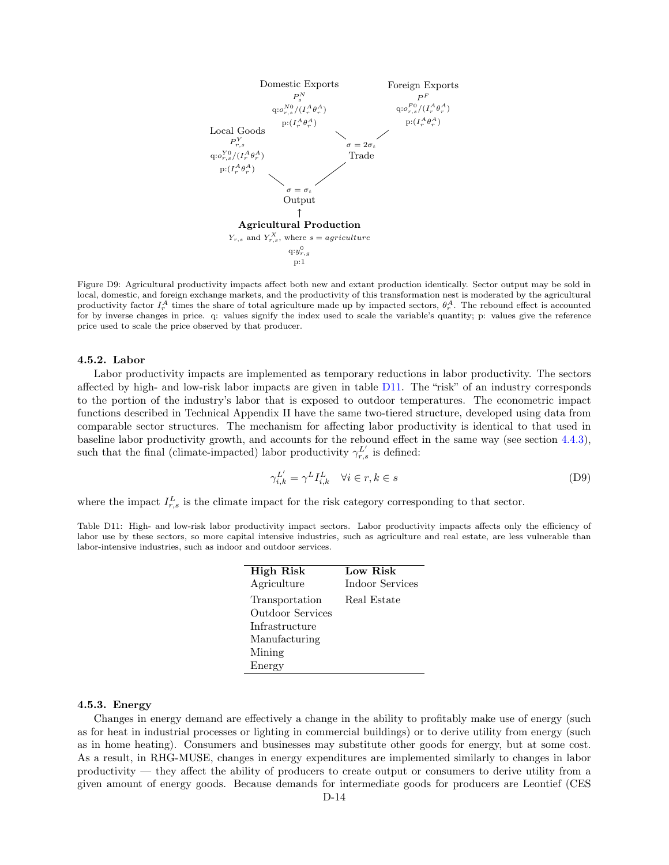<span id="page-13-0"></span>

Figure D9: Agricultural productivity impacts affect both new and extant production identically. Sector output may be sold in local, domestic, and foreign exchange markets, and the productivity of this transformation nest is moderated by the agricultural productivity factor  $I_r^A$  times the share of total agriculture made up by impacted sectors,  $\theta_r^A$ . The rebound effect is accounted for by inverse changes in price. q: values signify the index used to scale the variable's quantity; p: values give the reference price used to scale the price observed by that producer.

## 4.5.2. Labor

Labor productivity impacts are implemented as temporary reductions in labor productivity. The sectors affected by high- and low-risk labor impacts are given in table [D11.](#page-13-1) The "risk" of an industry corresponds to the portion of the industry's labor that is exposed to outdoor temperatures. The econometric impact functions described in Technical Appendix II have the same two-tiered structure, developed using data from comparable sector structures. The mechanism for affecting labor productivity is identical to that used in baseline labor productivity growth, and accounts for the rebound effect in the same way (see section [4.4.3\)](#page-12-1), such that the final (climate-impacted) labor productivity  $\gamma_{r,s}^{L'}$  is defined:

$$
\gamma_{i,k}^{L'} = \gamma^L I_{i,k}^L \quad \forall i \in r, k \in s \tag{D9}
$$

where the impact  $I_{r,s}^L$  is the climate impact for the risk category corresponding to that sector.

<span id="page-13-1"></span>Table D11: High- and low-risk labor productivity impact sectors. Labor productivity impacts affects only the efficiency of labor use by these sectors, so more capital intensive industries, such as agriculture and real estate, are less vulnerable than labor-intensive industries, such as indoor and outdoor services.

| <b>High Risk</b>        | Low Risk        |
|-------------------------|-----------------|
| Agriculture             | Indoor Services |
| Transportation          | Real Estate     |
| <b>Outdoor Services</b> |                 |
| Infrastructure          |                 |
| Manufacturing           |                 |
| Mining                  |                 |
| Energy                  |                 |

#### 4.5.3. Energy

Changes in energy demand are effectively a change in the ability to profitably make use of energy (such as for heat in industrial processes or lighting in commercial buildings) or to derive utility from energy (such as in home heating). Consumers and businesses may substitute other goods for energy, but at some cost. As a result, in RHG-MUSE, changes in energy expenditures are implemented similarly to changes in labor productivity — they affect the ability of producers to create output or consumers to derive utility from a given amount of energy goods. Because demands for intermediate goods for producers are Leontief (CES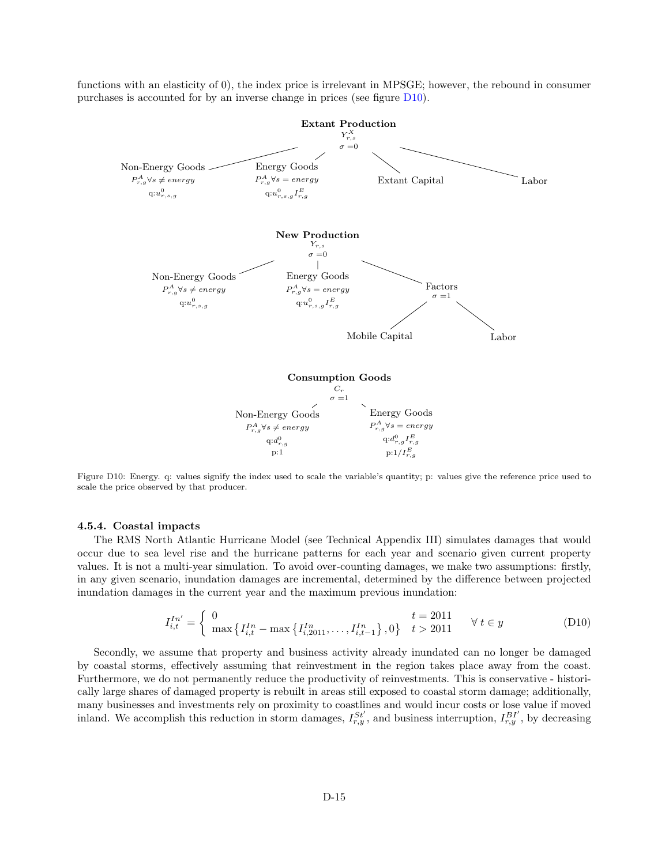<span id="page-14-0"></span>functions with an elasticity of 0), the index price is irrelevant in MPSGE; however, the rebound in consumer purchases is accounted for by an inverse change in prices (see figure [D10\)](#page-14-0).



Figure D10: Energy. q: values signify the index used to scale the variable's quantity; p: values give the reference price used to scale the price observed by that producer.

#### 4.5.4. Coastal impacts

The RMS North Atlantic Hurricane Model (see Technical Appendix III) simulates damages that would occur due to sea level rise and the hurricane patterns for each year and scenario given current property values. It is not a multi-year simulation. To avoid over-counting damages, we make two assumptions: firstly, in any given scenario, inundation damages are incremental, determined by the difference between projected inundation damages in the current year and the maximum previous inundation:

$$
I_{i,t}^{In'} = \begin{cases} 0 & t = 2011 \\ \max\left\{I_{i,t}^{In} - \max\left\{I_{i,2011}^{In}, \dots, I_{i,t-1}^{In}\right\}, 0\right\} & t > 2011 \end{cases} \quad \forall \ t \in y
$$
 (D10)

Secondly, we assume that property and business activity already inundated can no longer be damaged by coastal storms, effectively assuming that reinvestment in the region takes place away from the coast. Furthermore, we do not permanently reduce the productivity of reinvestments. This is conservative - historically large shares of damaged property is rebuilt in areas still exposed to coastal storm damage; additionally, many businesses and investments rely on proximity to coastlines and would incur costs or lose value if moved inland. We accomplish this reduction in storm damages,  $I_{r,y}^{St'}$ , and business interruption,  $I_{r,y}^{BI'}$ , by decreasing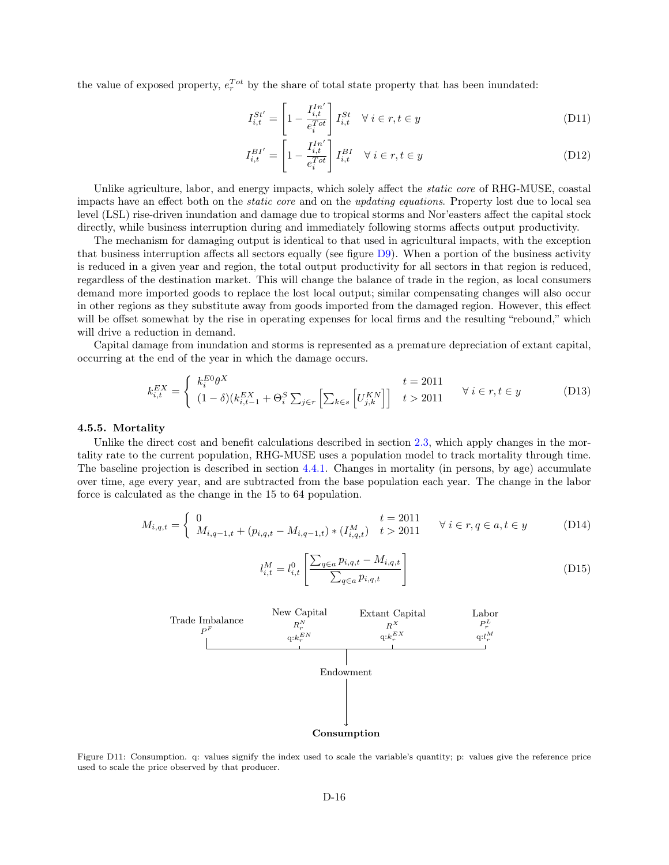the value of exposed property,  $e^{Tot}_{r}$  by the share of total state property that has been inundated:

$$
I_{i,t}^{St'} = \left[1 - \frac{I_{i,t}^{In'}}{e_i^{Tot}}\right] I_{i,t}^{St} \quad \forall \ i \in r, t \in y \tag{D11}
$$

$$
I_{i,t}^{BI'} = \left[1 - \frac{I_{i,t}^{In'}}{e_i^{Tot}}\right] I_{i,t}^{BI} \quad \forall \ i \in r, t \in y \tag{D12}
$$

Unlike agriculture, labor, and energy impacts, which solely affect the *static core* of RHG-MUSE, coastal impacts have an effect both on the static core and on the updating equations. Property lost due to local sea level (LSL) rise-driven inundation and damage due to tropical storms and Nor'easters affect the capital stock directly, while business interruption during and immediately following storms affects output productivity.

The mechanism for damaging output is identical to that used in agricultural impacts, with the exception that business interruption affects all sectors equally (see figure [D9\)](#page-13-0). When a portion of the business activity is reduced in a given year and region, the total output productivity for all sectors in that region is reduced, regardless of the destination market. This will change the balance of trade in the region, as local consumers demand more imported goods to replace the lost local output; similar compensating changes will also occur in other regions as they substitute away from goods imported from the damaged region. However, this effect will be offset somewhat by the rise in operating expenses for local firms and the resulting "rebound," which will drive a reduction in demand.

Capital damage from inundation and storms is represented as a premature depreciation of extant capital, occurring at the end of the year in which the damage occurs.

$$
k_{i,t}^{EX} = \begin{cases} k_i^{EO} \theta^X & t = 2011\\ (1 - \delta)(k_{i,t-1}^{EX} + \Theta_i^S \sum_{j \in r} \left[ \sum_{k \in s} \left[ U_{j,k}^{KN} \right] \right] & t > 2011 \end{cases} \quad \forall i \in r, t \in y
$$
 (D13)

#### 4.5.5. Mortality

Unlike the direct cost and benefit calculations described in section [2.3,](#page-1-1) which apply changes in the mortality rate to the current population, RHG-MUSE uses a population model to track mortality through time. The baseline projection is described in section [4.4.1.](#page-11-1) Changes in mortality (in persons, by age) accumulate over time, age every year, and are subtracted from the base population each year. The change in the labor force is calculated as the change in the 15 to 64 population.

$$
M_{i,q,t} = \begin{cases} 0 & t = 2011 \\ M_{i,q-1,t} + (p_{i,q,t} - M_{i,q-1,t}) * (I_{i,q,t}^M) & t > 2011 \end{cases} \forall i \in r, q \in a, t \in y
$$
 (D14)

$$
l_{i,t}^M = l_{i,t}^0 \left[ \frac{\sum_{q \in a} p_{i,q,t} - M_{i,q,t}}{\sum_{q \in a} p_{i,q,t}} \right]
$$
\n(D15)

<span id="page-15-0"></span>

Figure D11: Consumption. q: values signify the index used to scale the variable's quantity; p: values give the reference price used to scale the price observed by that producer.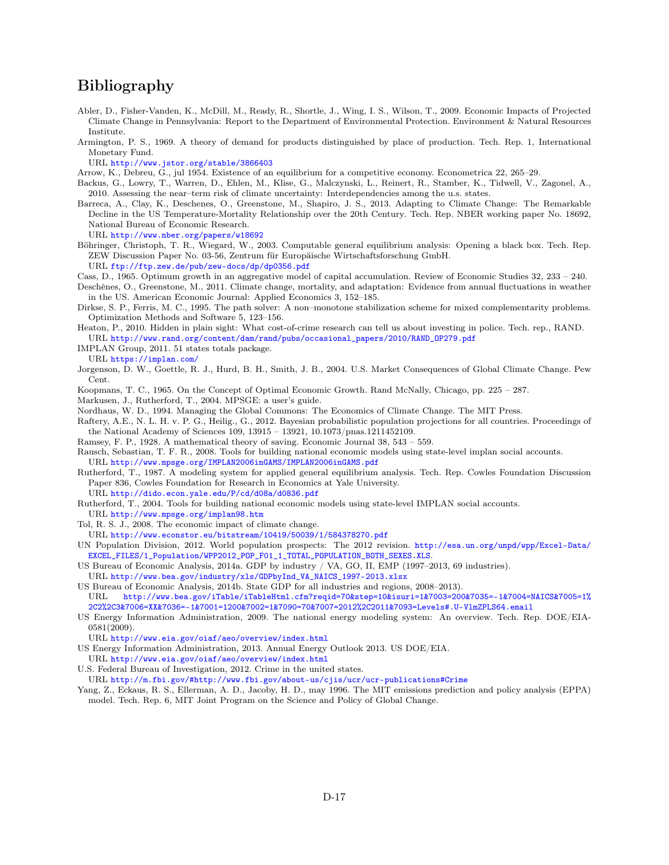# Bibliography

- <span id="page-16-11"></span>Abler, D., Fisher-Vanden, K., McDill, M., Ready, R., Shortle, J., Wing, I. S., Wilson, T., 2009. Economic Impacts of Projected Climate Change in Pennsylvania: Report to the Department of Environmental Protection. Environment & Natural Resources Institute.
- <span id="page-16-24"></span>Armington, P. S., 1969. A theory of demand for products distinguished by place of production. Tech. Rep. 1, International Monetary Fund.

URL <http://www.jstor.org/stable/3866403>

<span id="page-16-13"></span>Arrow, K., Debreu, G., jul 1954. Existence of an equilibrium for a competitive economy. Econometrica 22, 265–29.

- <span id="page-16-12"></span>Backus, G., Lowry, T., Warren, D., Ehlen, M., Klise, G., Malczynski, L., Reinert, R., Stamber, K., Tidwell, V., Zagonel, A., 2010. Assessing the near–term risk of climate uncertainty: Interdependencies among the u.s. states.
- <span id="page-16-4"></span>Barreca, A., Clay, K., Deschenes, O., Greenstone, M., Shapiro, J. S., 2013. Adapting to Climate Change: The Remarkable Decline in the US Temperature-Mortality Relationship over the 20th Century. Tech. Rep. NBER working paper No. 18692, National Bureau of Economic Research. URL <http://www.nber.org/papers/w18692>
- <span id="page-16-23"></span>Böhringer, Christoph, T. R., Wiegard, W., 2003. Computable general equilibrium analysis: Opening a black box. Tech. Rep. ZEW Discussion Paper No. 03-56, Zentrum für Europäische Wirtschaftsforschung GmbH.

URL <ftp://ftp.zew.de/pub/zew-docs/dp/dp0356.pdf>

- <span id="page-16-16"></span><span id="page-16-3"></span>Cass, D., 1965. Optimum growth in an aggregative model of capital accumulation. Review of Economic Studies 32, 233 – 240.
- Deschênes, O., Greenstone, M., 2011. Climate change, mortality, and adaptation: Evidence from annual fluctuations in weather in the US. American Economic Journal: Applied Economics 3, 152–185.
- <span id="page-16-19"></span>Dirkse, S. P., Ferris, M. C., 1995. The path solver: A non–monotone stabilization scheme for mixed complementarity problems. Optimization Methods and Software 5, 123–156.
- <span id="page-16-5"></span>Heaton, P., 2010. Hidden in plain sight: What cost-of-crime research can tell us about investing in police. Tech. rep., RAND. URL [http://www.rand.org/content/dam/rand/pubs/occasional\\_papers/2010/RAND\\_OP279.pdf](http://www.rand.org/content/dam/rand/pubs/occasional_papers/2010/RAND_OP279.pdf)
- <span id="page-16-2"></span>IMPLAN Group, 2011. 51 states totals package.

URL <https://implan.com/>

- <span id="page-16-10"></span>Jorgenson, D. W., Goettle, R. J., Hurd, B. H., Smith, J. B., 2004. U.S. Market Consequences of Global Climate Change. Pew Cent.
- <span id="page-16-17"></span>Koopmans, T. C., 1965. On the Concept of Optimal Economic Growth. Rand McNally, Chicago, pp. 225 – 287.
- <span id="page-16-22"></span>Markusen, J., Rutherford, T., 2004. MPSGE: a user's guide.
- <span id="page-16-25"></span>Nordhaus, W. D., 1994. Managing the Global Commons: The Economics of Climate Change. The MIT Press.
- <span id="page-16-27"></span>Raftery, A.E., N. L. H. v. P. G., Heilig., G., 2012. Bayesian probabilistic population projections for all countries. Proceedings of the National Academy of Sciences 109, 13915 – 13921, 10.1073/pnas.1211452109.
- <span id="page-16-15"></span>Ramsey, F. P., 1928. A mathematical theory of saving. Economic Journal 38, 543 – 559.
- <span id="page-16-21"></span>Rausch, Sebastian, T. F. R., 2008. Tools for building national economic models using state-level implan social accounts. URL <http://www.mpsge.org/IMPLAN2006inGAMS/IMPLAN2006inGAMS.pdf>
- <span id="page-16-18"></span>Rutherford, T., 1987. A modeling system for applied general equilibrium analysis. Tech. Rep. Cowles Foundation Discussion Paper 836, Cowles Foundation for Research in Economics at Yale University.
- URL <http://dido.econ.yale.edu/P/cd/d08a/d0836.pdf>

<span id="page-16-20"></span>Rutherford, T., 2004. Tools for building national economic models using state-level IMPLAN social accounts. URL <http://www.mpsge.org/implan98.htm>

- <span id="page-16-14"></span>Tol, R. S. J., 2008. The economic impact of climate change.
- URL <http://www.econstor.eu/bitstream/10419/50039/1/584378270.pdf>
- <span id="page-16-26"></span>UN Population Division, 2012. World population prospects: The 2012 revision. [http://esa.un.org/unpd/wpp/Excel-Data/](http://esa.un.org/unpd/wpp/Excel-Data/EXCEL_FILES/1_Population/WPP2012_POP_F01_1_TOTAL_POPULATION_BOTH_SEXES.XLS) [EXCEL\\_FILES/1\\_Population/WPP2012\\_POP\\_F01\\_1\\_TOTAL\\_POPULATION\\_BOTH\\_SEXES.XLS](http://esa.un.org/unpd/wpp/Excel-Data/EXCEL_FILES/1_Population/WPP2012_POP_F01_1_TOTAL_POPULATION_BOTH_SEXES.XLS).
- <span id="page-16-0"></span>US Bureau of Economic Analysis, 2014a. GDP by industry / VA, GO, II, EMP (1997–2013, 69 industries).

URL [http://www.bea.gov/industry/xls/GDPbyInd\\_VA\\_NAICS\\_1997-2013.xlsx](http://www.bea.gov/industry/xls/GDPbyInd_VA_NAICS_1997-2013.xlsx)

- <span id="page-16-1"></span>US Bureau of Economic Analysis, 2014b. State GDP for all industries and regions, 2008–2013). URL [http://www.bea.gov/iTable/iTableHtml.cfm?reqid=70&step=10&isuri=1&7003=200&7035=-1&7004=NAICS&7005=1%](http://www.bea.gov/iTable/iTableHtml.cfm?reqid=70&step=10&isuri=1&7003=200&7035=-1&7004=NAICS&7005=1%2C2%2C3&7006=XX&7036=-1&7001=1200&7002=1&7090=70&7007=2012%2C2011&7093=Levels#.U-VlmZPLS64.email) [2C2%2C3&7006=XX&7036=-1&7001=1200&7002=1&7090=70&7007=2012%2C2011&7093=Levels#.U-VlmZPLS64.email](http://www.bea.gov/iTable/iTableHtml.cfm?reqid=70&step=10&isuri=1&7003=200&7035=-1&7004=NAICS&7005=1%2C2%2C3&7006=XX&7036=-1&7001=1200&7002=1&7090=70&7007=2012%2C2011&7093=Levels#.U-VlmZPLS64.email)
- <span id="page-16-7"></span>US Energy Information Administration, 2009. The national energy modeling system: An overview. Tech. Rep. DOE/EIA-0581(2009).
- URL <http://www.eia.gov/oiaf/aeo/overview/index.html>
- <span id="page-16-8"></span>US Energy Information Administration, 2013. Annual Energy Outlook 2013. US DOE/EIA.

URL <http://www.eia.gov/oiaf/aeo/overview/index.html>

- <span id="page-16-6"></span>U.S. Federal Bureau of Investigation, 2012. Crime in the united states.
- URL <http://m.fbi.gov/#http://www.fbi.gov/about-us/cjis/ucr/ucr-publications#Crime>
- <span id="page-16-9"></span>Yang, Z., Eckaus, R. S., Ellerman, A. D., Jacoby, H. D., may 1996. The MIT emissions prediction and policy analysis (EPPA) model. Tech. Rep. 6, MIT Joint Program on the Science and Policy of Global Change.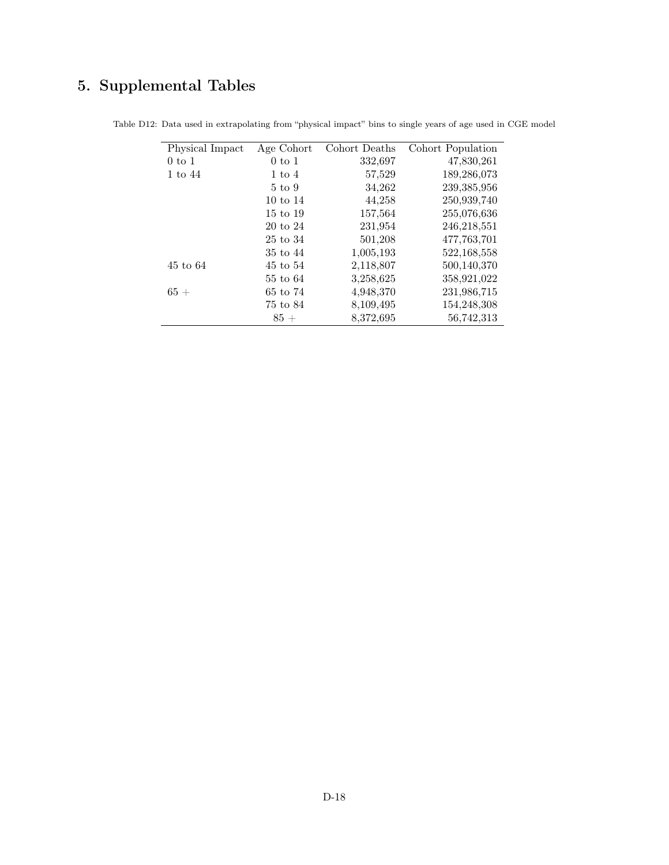# 5. Supplemental Tables

| Physical Impact    | Age Cohort          | Cohort Deaths | Cohort Population |
|--------------------|---------------------|---------------|-------------------|
| $0 \text{ to } 1$  | $0 \text{ to } 1$   | 332,697       | 47,830,261        |
| $1 \text{ to } 44$ | $1 \text{ to } 4$   | 57,529        | 189,286,073       |
|                    | $5 \text{ to } 9$   | 34,262        | 239,385,956       |
|                    | $10 \text{ to } 14$ | 44,258        | 250,939,740       |
|                    | $15 \text{ to } 19$ | 157,564       | 255,076,636       |
|                    | $20 \text{ to } 24$ | 231,954       | 246,218,551       |
|                    | 25 to 34            | 501,208       | 477,763,701       |
|                    | 35 to 44            | 1,005,193     | 522, 168, 558     |
| 45 to 64           | 45 to 54            | 2,118,807     | 500,140,370       |
|                    | 55 to 64            | 3,258,625     | 358,921,022       |
| $65+$              | 65 to 74            | 4,948,370     | 231,986,715       |
|                    | 75 to 84            | 8,109,495     | 154,248,308       |
|                    | $85+$               | 8,372,695     | 56,742,313        |

<span id="page-17-0"></span>Table D12: Data used in extrapolating from "physical impact" bins to single years of age used in CGE model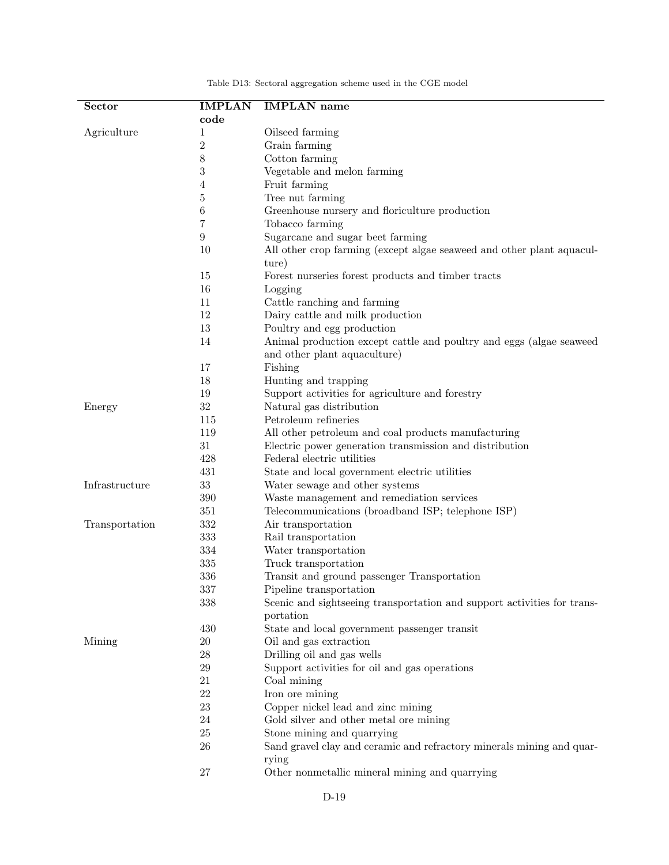<span id="page-18-0"></span>

| <b>Sector</b>  | <b>IMPLAN</b>    | <b>IMPLAN</b> name                                                      |
|----------------|------------------|-------------------------------------------------------------------------|
|                | code             |                                                                         |
| Agriculture    | 1                | Oilseed farming                                                         |
|                | $\sqrt{2}$       | Grain farming                                                           |
|                | 8                | Cotton farming                                                          |
|                | $\sqrt{3}$       | Vegetable and melon farming                                             |
|                | 4                | Fruit farming                                                           |
|                | $\bf 5$          | Tree nut farming                                                        |
|                | 6                | Greenhouse nursery and floriculture production                          |
|                | 7                | Tobacco farming                                                         |
|                | $\boldsymbol{9}$ | Sugarcane and sugar beet farming                                        |
|                | 10               | All other crop farming (except algae seaweed and other plant aquacul-   |
|                |                  | ture)                                                                   |
|                | 15               | Forest nurseries forest products and timber tracts                      |
|                | 16               | Logging                                                                 |
|                | 11               | Cattle ranching and farming                                             |
|                | 12               | Dairy cattle and milk production                                        |
|                | 13               | Poultry and egg production                                              |
|                | 14               | Animal production except cattle and poultry and eggs (algae seaweed     |
|                |                  | and other plant aquaculture)                                            |
|                | 17               | Fishing                                                                 |
|                | 18               | Hunting and trapping                                                    |
|                | 19               | Support activities for agriculture and forestry                         |
| Energy         | $32\,$           | Natural gas distribution                                                |
|                | 115              | Petroleum refineries                                                    |
|                | 119              | All other petroleum and coal products manufacturing                     |
|                | 31               | Electric power generation transmission and distribution                 |
|                | 428              | Federal electric utilities                                              |
|                | 431              | State and local government electric utilities                           |
| Infrastructure | 33               | Water sewage and other systems                                          |
|                | 390              | Waste management and remediation services                               |
|                | 351              | Telecommunications (broadband ISP; telephone ISP)                       |
| Transportation | 332              | Air transportation                                                      |
|                | 333              | Rail transportation                                                     |
|                | 334              | Water transportation                                                    |
|                | 335              | Truck transportation                                                    |
|                | 336              | Transit and ground passenger Transportation                             |
|                | 337              | Pipeline transportation                                                 |
|                | 338              | Scenic and sightseeing transportation and support activities for trans- |
|                |                  | portation                                                               |
|                | 430              | State and local government passenger transit                            |
| Mining         | $20\,$           | Oil and gas extraction                                                  |
|                | $\sqrt{28}$      | Drilling oil and gas wells                                              |
|                | 29               | Support activities for oil and gas operations                           |
|                | 21               | Coal mining                                                             |
|                | 22               | Iron ore mining                                                         |
|                | $23\,$           | Copper nickel lead and zinc mining                                      |
|                | 24               | Gold silver and other metal ore mining                                  |
|                | $25\,$           | Stone mining and quarrying                                              |
|                | 26               | Sand gravel clay and ceramic and refractory minerals mining and quar-   |
|                | 27               | rying<br>Other nonmetallic mineral mining and quarrying                 |
|                |                  |                                                                         |

Table D13: Sectoral aggregation scheme used in the CGE model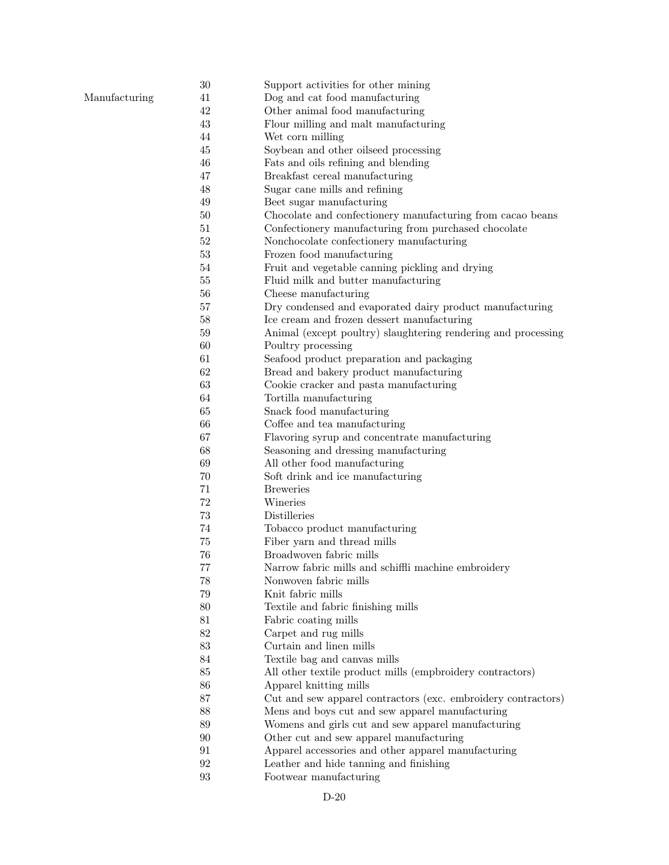|               | $30\,$ | Support activities for other mining                           |
|---------------|--------|---------------------------------------------------------------|
| Manufacturing | 41     | Dog and cat food manufacturing                                |
|               | 42     | Other animal food manufacturing                               |
|               | 43     | Flour milling and malt manufacturing                          |
|               | 44     | Wet corn milling                                              |
|               | 45     | Soybean and other oilseed processing                          |
|               | 46     | Fats and oils refining and blending                           |
|               | 47     | Breakfast cereal manufacturing                                |
|               | 48     | Sugar cane mills and refining                                 |
|               | 49     | Beet sugar manufacturing                                      |
|               | 50     | Chocolate and confectionery manufacturing from cacao beans    |
|               | 51     | Confectionery manufacturing from purchased chocolate          |
|               | 52     | Nonchocolate confectionery manufacturing                      |
|               | $53\,$ | Frozen food manufacturing                                     |
|               | 54     | Fruit and vegetable canning pickling and drying               |
|               | 55     | Fluid milk and butter manufacturing                           |
|               | 56     | Cheese manufacturing                                          |
|               | 57     | Dry condensed and evaporated dairy product manufacturing      |
|               | 58     | Ice cream and frozen dessert manufacturing                    |
|               | 59     | Animal (except poultry) slaughtering rendering and processing |
|               | 60     | Poultry processing                                            |
|               | 61     | Seafood product preparation and packaging                     |
|               | 62     | Bread and bakery product manufacturing                        |
|               | 63     | Cookie cracker and pasta manufacturing                        |
|               | 64     | Tortilla manufacturing                                        |
|               | 65     | Snack food manufacturing                                      |
|               | 66     | Coffee and tea manufacturing                                  |
|               | 67     | Flavoring syrup and concentrate manufacturing                 |
|               | 68     | Seasoning and dressing manufacturing                          |
|               | 69     | All other food manufacturing                                  |
|               | 70     | Soft drink and ice manufacturing                              |
|               | 71     | <b>Breweries</b>                                              |
|               | 72     | Wineries                                                      |
|               | 73     | Distilleries                                                  |
|               | 74     | Tobacco product manufacturing                                 |
|               | 75     | Fiber yarn and thread mills                                   |
|               | 76     | Broadwoven fabric mills                                       |
|               | 77     | Narrow fabric mills and schiffli machine embroidery           |
|               | 78     | Nonwoven fabric mills                                         |
|               | 79     | Knit fabric mills                                             |
|               | 80     | Textile and fabric finishing mills                            |
|               | 81     | Fabric coating mills                                          |
|               | 82     | Carpet and rug mills                                          |
|               | 83     | Curtain and linen mills                                       |
|               | 84     | Textile bag and canvas mills                                  |
|               | 85     | All other textile product mills (empbroidery contractors)     |
|               | 86     | Apparel knitting mills                                        |
|               | 87     | Cut and sew apparel contractors (exc. embroidery contractors) |
|               | 88     | Mens and boys cut and sew apparel manufacturing               |
|               | 89     | Womens and girls cut and sew apparel manufacturing            |
|               | 90     | Other cut and sew apparel manufacturing                       |
|               | 91     | Apparel accessories and other apparel manufacturing           |
|               | 92     | Leather and hide tanning and finishing                        |
|               | 93     | Footwear manufacturing                                        |
|               |        |                                                               |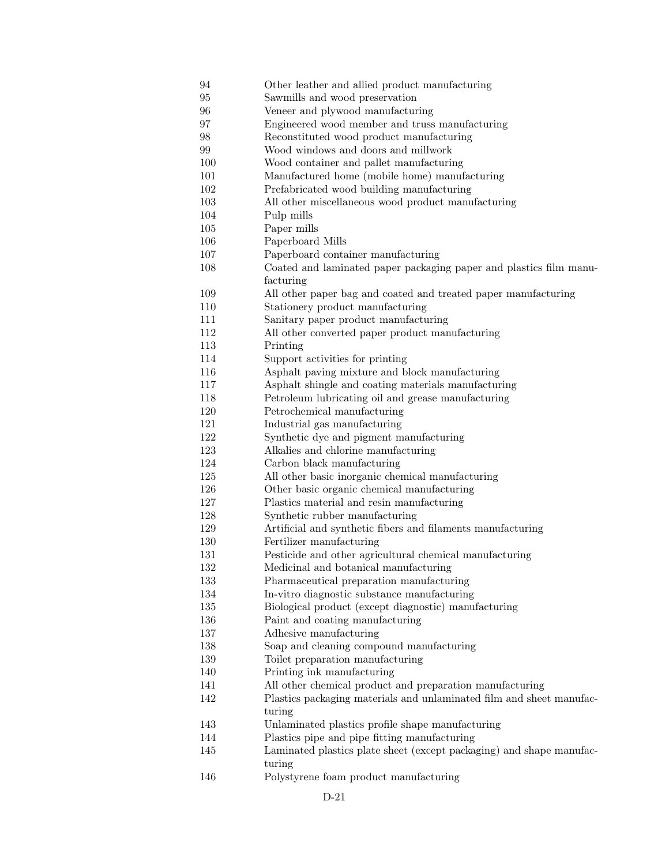| 94  | Other leather and allied product manufacturing                       |
|-----|----------------------------------------------------------------------|
| 95  | Sawmills and wood preservation                                       |
| 96  | Veneer and plywood manufacturing                                     |
| 97  | Engineered wood member and truss manufacturing                       |
| 98  | Reconstituted wood product manufacturing                             |
| 99  | Wood windows and doors and millwork                                  |
| 100 | Wood container and pallet manufacturing                              |
| 101 | Manufactured home (mobile home) manufacturing                        |
| 102 | Prefabricated wood building manufacturing                            |
| 103 | All other miscellaneous wood product manufacturing                   |
| 104 | Pulp mills                                                           |
| 105 | Paper mills                                                          |
| 106 | Paperboard Mills                                                     |
| 107 | Paperboard container manufacturing                                   |
| 108 | Coated and laminated paper packaging paper and plastics film manu-   |
|     | facturing                                                            |
| 109 | All other paper bag and coated and treated paper manufacturing       |
| 110 | Stationery product manufacturing                                     |
| 111 | Sanitary paper product manufacturing                                 |
| 112 | All other converted paper product manufacturing                      |
| 113 | Printing                                                             |
| 114 | Support activities for printing                                      |
| 116 | Asphalt paving mixture and block manufacturing                       |
| 117 | Asphalt shingle and coating materials manufacturing                  |
| 118 | Petroleum lubricating oil and grease manufacturing                   |
| 120 | Petrochemical manufacturing                                          |
| 121 | Industrial gas manufacturing                                         |
| 122 |                                                                      |
|     | Synthetic dye and pigment manufacturing                              |
| 123 | Alkalies and chlorine manufacturing                                  |
| 124 | Carbon black manufacturing                                           |
| 125 | All other basic inorganic chemical manufacturing                     |
| 126 | Other basic organic chemical manufacturing                           |
| 127 | Plastics material and resin manufacturing                            |
| 128 | Synthetic rubber manufacturing                                       |
| 129 | Artificial and synthetic fibers and filaments manufacturing          |
| 130 | Fertilizer manufacturing                                             |
| 131 | Pesticide and other agricultural chemical manufacturing              |
| 132 | Medicinal and botanical manufacturing                                |
| 133 | Pharmaceutical preparation manufacturing                             |
| 134 | In-vitro diagnostic substance manufacturing                          |
| 135 | Biological product (except diagnostic) manufacturing                 |
| 136 | Paint and coating manufacturing                                      |
| 137 | Adhesive manufacturing                                               |
| 138 | Soap and cleaning compound manufacturing                             |
| 139 | Toilet preparation manufacturing                                     |
| 140 | Printing ink manufacturing                                           |
| 141 | All other chemical product and preparation manufacturing             |
| 142 | Plastics packaging materials and unlaminated film and sheet manufac- |
|     | turing                                                               |
| 143 | Unlaminated plastics profile shape manufacturing                     |
| 144 | Plastics pipe and pipe fitting manufacturing                         |
| 145 | Laminated plastics plate sheet (except packaging) and shape manufac- |
|     | turing                                                               |
| 146 | Polystyrene foam product manufacturing                               |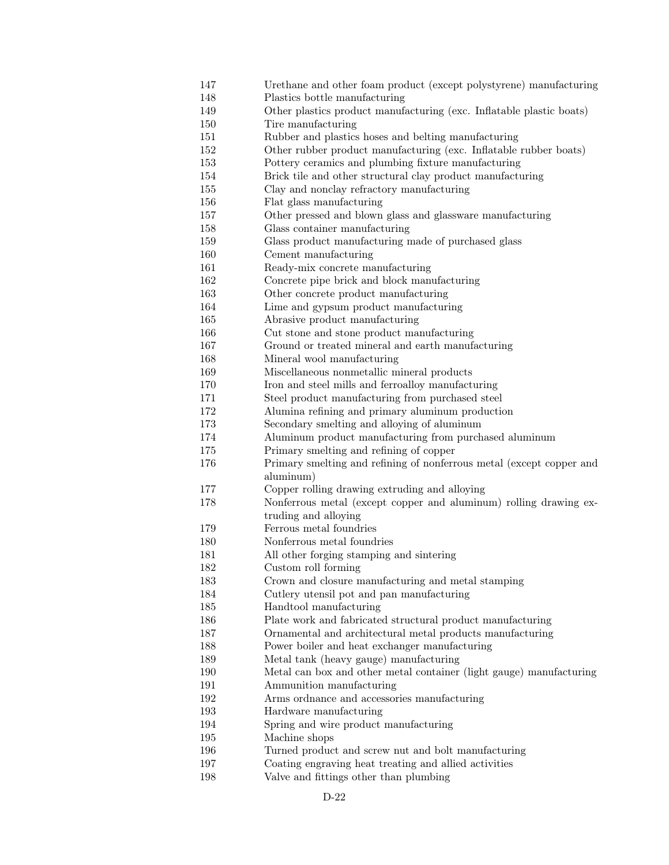- 147 Urethane and other foam product (except polystyrene) manufacturing
- 148 Plastics bottle manufacturing
- 149 Other plastics product manufacturing (exc. Inflatable plastic boats)
- 150 Tire manufacturing
- 151 Rubber and plastics hoses and belting manufacturing
- 152 Other rubber product manufacturing (exc. Inflatable rubber boats)
- 153 Pottery ceramics and plumbing fixture manufacturing
- 154 Brick tile and other structural clay product manufacturing
- 155 Clay and nonclay refractory manufacturing
- 156 Flat glass manufacturing
- 157 Other pressed and blown glass and glassware manufacturing
- 158 Glass container manufacturing
- 159 Glass product manufacturing made of purchased glass
- 160 Cement manufacturing
- 161 Ready-mix concrete manufacturing
- 162 Concrete pipe brick and block manufacturing
- 163 Other concrete product manufacturing
- 164 Lime and gypsum product manufacturing
- 165 Abrasive product manufacturing
- 166 Cut stone and stone product manufacturing
- 167 Ground or treated mineral and earth manufacturing
- 168 Mineral wool manufacturing
- 169 Miscellaneous nonmetallic mineral products
- 170 Iron and steel mills and ferroalloy manufacturing
- 171 Steel product manufacturing from purchased steel
- 172 Alumina refining and primary aluminum production
- 173 Secondary smelting and alloying of aluminum
- 174 Aluminum product manufacturing from purchased aluminum
- 175 Primary smelting and refining of copper
- 176 Primary smelting and refining of nonferrous metal (except copper and aluminum)
- 177 Copper rolling drawing extruding and alloying
- 178 Nonferrous metal (except copper and aluminum) rolling drawing extruding and alloying
- 179 Ferrous metal foundries
- 180 Nonferrous metal foundries
- 181 All other forging stamping and sintering
- 182 Custom roll forming
- 183 Crown and closure manufacturing and metal stamping
- 184 Cutlery utensil pot and pan manufacturing
- 185 Handtool manufacturing
- 186 Plate work and fabricated structural product manufacturing
- 187 Ornamental and architectural metal products manufacturing
- 188 Power boiler and heat exchanger manufacturing
- 189 Metal tank (heavy gauge) manufacturing
- 190 Metal can box and other metal container (light gauge) manufacturing
- 191 Ammunition manufacturing
- 192 Arms ordnance and accessories manufacturing
- 193 Hardware manufacturing
- 194 Spring and wire product manufacturing
- 195 Machine shops
- 196 Turned product and screw nut and bolt manufacturing
- 197 Coating engraving heat treating and allied activities
- 198 Valve and fittings other than plumbing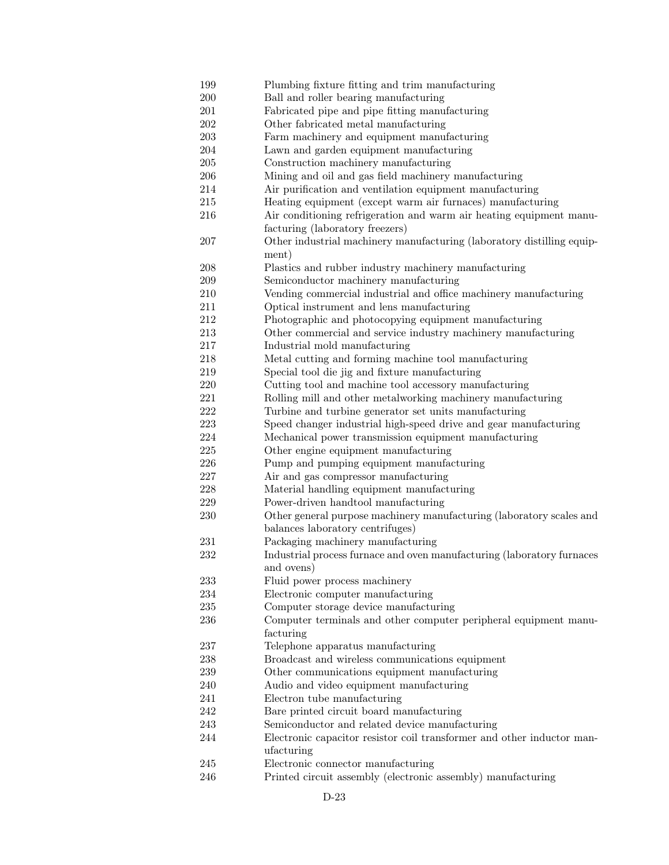199 Plumbing fixture fitting and trim manufacturing 200 Ball and roller bearing manufacturing 201 Fabricated pipe and pipe fitting manufacturing 202 Other fabricated metal manufacturing 203 Farm machinery and equipment manufacturing 204 Lawn and garden equipment manufacturing 205 Construction machinery manufacturing 206 Mining and oil and gas field machinery manufacturing 214 Air purification and ventilation equipment manufacturing 215 Heating equipment (except warm air furnaces) manufacturing 216 Air conditioning refrigeration and warm air heating equipment manufacturing (laboratory freezers) 207 Other industrial machinery manufacturing (laboratory distilling equipment) 208 Plastics and rubber industry machinery manufacturing 209 Semiconductor machinery manufacturing 210 Vending commercial industrial and office machinery manufacturing 211 Optical instrument and lens manufacturing 212 Photographic and photocopying equipment manufacturing 213 Other commercial and service industry machinery manufacturing 217 Industrial mold manufacturing 218 Metal cutting and forming machine tool manufacturing 219 Special tool die jig and fixture manufacturing 220 Cutting tool and machine tool accessory manufacturing 221 Rolling mill and other metalworking machinery manufacturing 222 Turbine and turbine generator set units manufacturing 223 Speed changer industrial high-speed drive and gear manufacturing 224 Mechanical power transmission equipment manufacturing 225 Other engine equipment manufacturing 226 Pump and pumping equipment manufacturing 227 Air and gas compressor manufacturing 228 Material handling equipment manufacturing 229 Power-driven handtool manufacturing 230 Other general purpose machinery manufacturing (laboratory scales and balances laboratory centrifuges) 231 Packaging machinery manufacturing 232 Industrial process furnace and oven manufacturing (laboratory furnaces and ovens) 233 Fluid power process machinery 234 Electronic computer manufacturing 235 Computer storage device manufacturing 236 Computer terminals and other computer peripheral equipment manufacturing 237 Telephone apparatus manufacturing 238 Broadcast and wireless communications equipment 239 Other communications equipment manufacturing 240 Audio and video equipment manufacturing 241 Electron tube manufacturing 242 Bare printed circuit board manufacturing 243 Semiconductor and related device manufacturing 244 Electronic capacitor resistor coil transformer and other inductor manufacturing 245 Electronic connector manufacturing 246 Printed circuit assembly (electronic assembly) manufacturing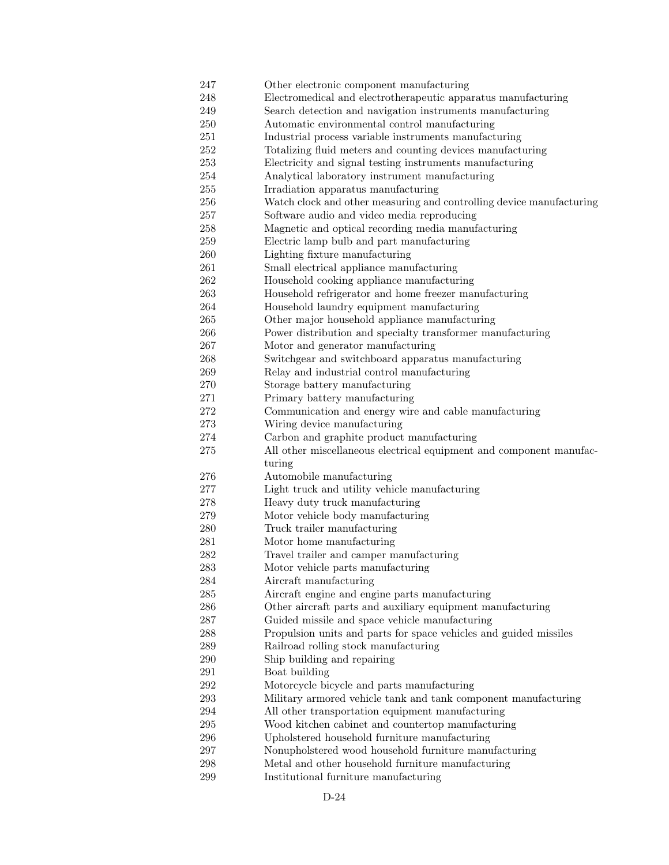- 247 Other electronic component manufacturing 248 Electromedical and electrotherapeutic apparatus manufacturing 249 Search detection and navigation instruments manufacturing 250 Automatic environmental control manufacturing 251 Industrial process variable instruments manufacturing 252 Totalizing fluid meters and counting devices manufacturing 253 Electricity and signal testing instruments manufacturing 254 Analytical laboratory instrument manufacturing 255 Irradiation apparatus manufacturing 256 Watch clock and other measuring and controlling device manufacturing 257 Software audio and video media reproducing 258 Magnetic and optical recording media manufacturing 259 Electric lamp bulb and part manufacturing 260 Lighting fixture manufacturing 261 Small electrical appliance manufacturing 262 Household cooking appliance manufacturing 263 Household refrigerator and home freezer manufacturing 264 Household laundry equipment manufacturing 265 Other major household appliance manufacturing 266 Power distribution and specialty transformer manufacturing 267 Motor and generator manufacturing 268 Switchgear and switchboard apparatus manufacturing 269 Relay and industrial control manufacturing 270 Storage battery manufacturing 271 Primary battery manufacturing 272 Communication and energy wire and cable manufacturing 273 Wiring device manufacturing 274 Carbon and graphite product manufacturing 275 All other miscellaneous electrical equipment and component manufacturing 276 Automobile manufacturing 277 Light truck and utility vehicle manufacturing 278 Heavy duty truck manufacturing 279 Motor vehicle body manufacturing 280 Truck trailer manufacturing 281 Motor home manufacturing 282 Travel trailer and camper manufacturing 283 Motor vehicle parts manufacturing 284 Aircraft manufacturing 285 Aircraft engine and engine parts manufacturing 286 Other aircraft parts and auxiliary equipment manufacturing 287 Guided missile and space vehicle manufacturing 288 Propulsion units and parts for space vehicles and guided missiles 289 Railroad rolling stock manufacturing 290 Ship building and repairing 291 Boat building 292 Motorcycle bicycle and parts manufacturing 293 Military armored vehicle tank and tank component manufacturing 294 All other transportation equipment manufacturing 295 Wood kitchen cabinet and countertop manufacturing 296 Upholstered household furniture manufacturing 297 Nonupholstered wood household furniture manufacturing 298 Metal and other household furniture manufacturing
- 299 Institutional furniture manufacturing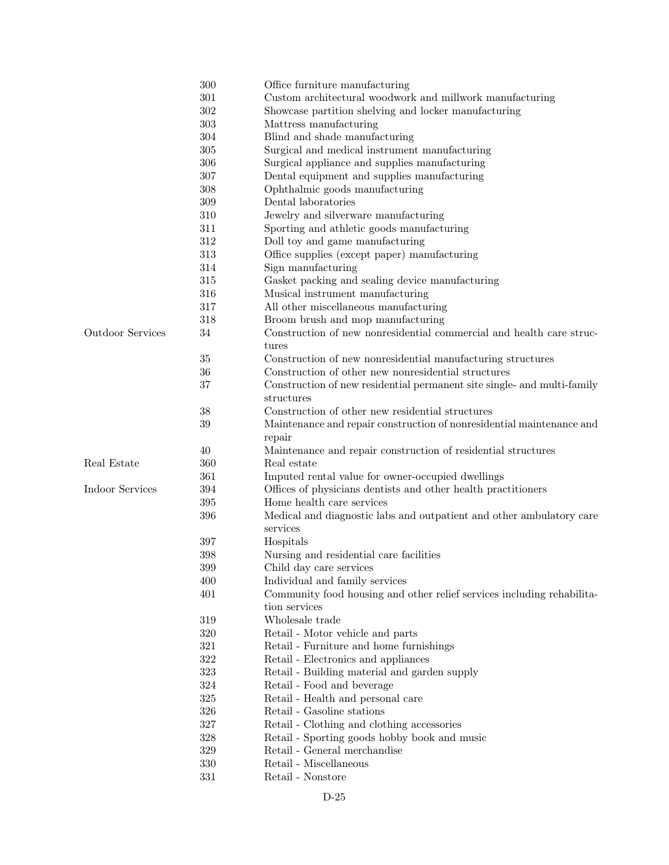|                         | 300     | Office furniture manufacturing                                          |
|-------------------------|---------|-------------------------------------------------------------------------|
|                         | 301     | Custom architectural woodwork and millwork manufacturing                |
|                         | 302     | Showcase partition shelving and locker manufacturing                    |
|                         | 303     | Mattress manufacturing                                                  |
|                         | 304     | Blind and shade manufacturing                                           |
|                         | 305     | Surgical and medical instrument manufacturing                           |
|                         | 306     | Surgical appliance and supplies manufacturing                           |
|                         | 307     | Dental equipment and supplies manufacturing                             |
|                         | 308     | Ophthalmic goods manufacturing                                          |
|                         | $309\,$ | Dental laboratories                                                     |
|                         | 310     | Jewelry and silverware manufacturing                                    |
|                         | 311     | Sporting and athletic goods manufacturing                               |
|                         | 312     | Doll toy and game manufacturing                                         |
|                         | 313     | Office supplies (except paper) manufacturing                            |
|                         | 314     | Sign manufacturing                                                      |
|                         | $315\,$ | Gasket packing and sealing device manufacturing                         |
|                         | 316     | Musical instrument manufacturing                                        |
|                         | $317\,$ | All other miscellaneous manufacturing                                   |
|                         | 318     | Broom brush and mop manufacturing                                       |
| <b>Outdoor Services</b> | 34      | Construction of new nonresidential commercial and health care struc-    |
|                         |         |                                                                         |
|                         |         | tures                                                                   |
|                         | $35\,$  | Construction of new nonresidential manufacturing structures             |
|                         | 36      | Construction of other new nonresidential structures                     |
|                         | 37      | Construction of new residential permanent site single- and multi-family |
|                         |         | structures                                                              |
|                         | 38      | Construction of other new residential structures                        |
|                         | 39      | Maintenance and repair construction of nonresidential maintenance and   |
|                         |         | repair                                                                  |
|                         | 40      | Maintenance and repair construction of residential structures           |
| Real Estate             | 360     | Real estate                                                             |
|                         | 361     | Imputed rental value for owner-occupied dwellings                       |
| Indoor Services         | 394     | Offices of physicians dentists and other health practitioners           |
|                         | 395     | Home health care services                                               |
|                         | 396     | Medical and diagnostic labs and outpatient and other ambulatory care    |
|                         |         | services                                                                |
|                         | 397     | Hospitals                                                               |
|                         | 398     | Nursing and residential care facilities                                 |
|                         | 399     | Child day care services                                                 |
|                         | 400     | Individual and family services                                          |
|                         | 401     | Community food housing and other relief services including rehabilita-  |
|                         |         | tion services                                                           |
|                         | 319     | Wholesale trade                                                         |
|                         | 320     | Retail - Motor vehicle and parts                                        |
|                         | 321     | Retail - Furniture and home furnishings                                 |
|                         | 322     | Retail - Electronics and appliances                                     |
|                         | 323     | Retail - Building material and garden supply                            |
|                         | 324     | Retail - Food and beverage                                              |
|                         | 325     | Retail - Health and personal care                                       |
|                         | 326     | Retail - Gasoline stations                                              |
|                         | 327     | Retail - Clothing and clothing accessories                              |
|                         | 328     | Retail - Sporting goods hobby book and music                            |
|                         | 329     | Retail - General merchandise                                            |
|                         | 330     | Retail - Miscellaneous                                                  |
|                         | 331     | Retail - Nonstore                                                       |
|                         |         |                                                                         |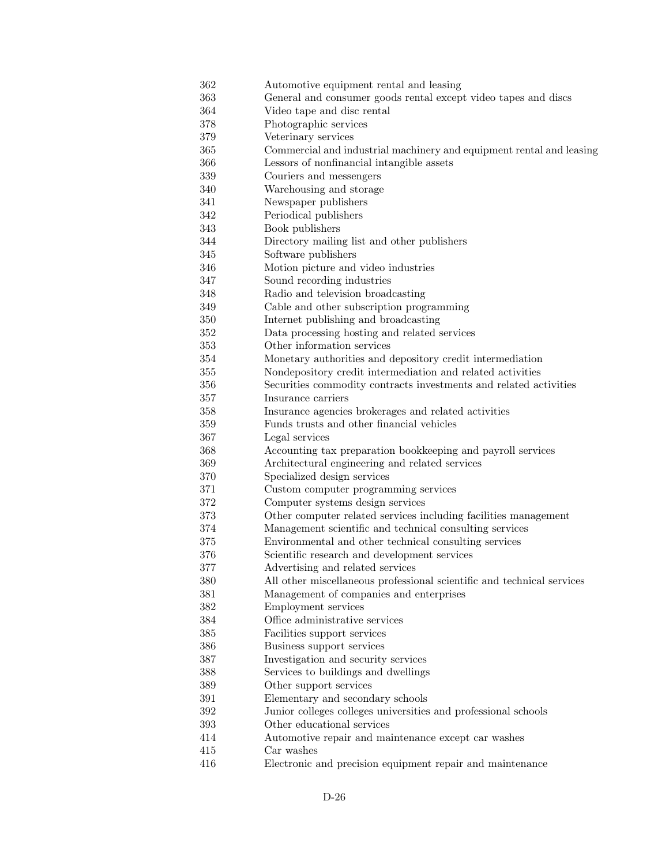- 362 Automotive equipment rental and leasing
- 363 General and consumer goods rental except video tapes and discs
- 364 Video tape and disc rental
- 378 Photographic services
- 379 Veterinary services
- 365 Commercial and industrial machinery and equipment rental and leasing
- 366 Lessors of nonfinancial intangible assets
- 339 Couriers and messengers
- 340 Warehousing and storage
- 341 Newspaper publishers
- 342 Periodical publishers
- 343 Book publishers
- 344 Directory mailing list and other publishers
- 345 Software publishers
- 346 Motion picture and video industries
- 347 Sound recording industries
- 348 Radio and television broadcasting
- 349 Cable and other subscription programming
- 350 Internet publishing and broadcasting
- 352 Data processing hosting and related services
- 353 Other information services
- 354 Monetary authorities and depository credit intermediation
- 355 Nondepository credit intermediation and related activities
- 356 Securities commodity contracts investments and related activities
- 357 Insurance carriers
- 358 Insurance agencies brokerages and related activities
- 359 Funds trusts and other financial vehicles
- 367 Legal services
- 368 Accounting tax preparation bookkeeping and payroll services
- 369 Architectural engineering and related services
- 370 Specialized design services
- 371 Custom computer programming services
- 372 Computer systems design services
- 373 Other computer related services including facilities management
- 374 Management scientific and technical consulting services
- 375 Environmental and other technical consulting services
- 376 Scientific research and development services
- 377 Advertising and related services
- 380 All other miscellaneous professional scientific and technical services
- 381 Management of companies and enterprises
- 382 Employment services
- 384 Office administrative services
- 385 Facilities support services
- 386 Business support services
- 387 Investigation and security services
- 388 Services to buildings and dwellings
- 389 Other support services
- 391 Elementary and secondary schools
- 392 Junior colleges colleges universities and professional schools
- 393 Other educational services
- 414 Automotive repair and maintenance except car washes
- 415 Car washes
- 416 Electronic and precision equipment repair and maintenance